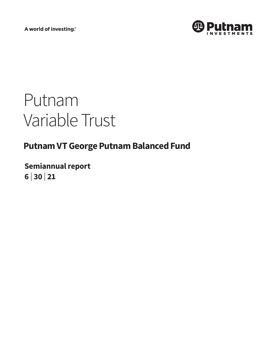A world of investing®



# Putnam Variable Trust

# **Putnam VT George Putnam Balanced Fund**

**Semiannual report 6 <sup>|</sup> 30 <sup>|</sup> 21**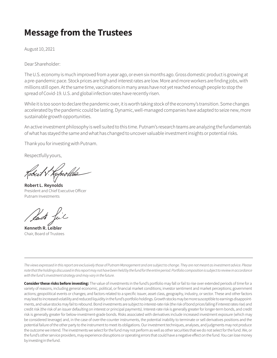# **Message from the Trustees**

August 10, 2021

Dear Shareholder:

The U.S. economy is much improved from a year ago, or even six months ago. Gross domestic product is growing at a pre-pandemic pace. Stock prices are high and interest rates are low. More and more workers are finding jobs, with millions still open. At the same time, vaccinations in many areas have not yet reached enough people to stop the spread of Covid-19. U.S. and global infection rates have recently risen.

While it is too soon to declare the pandemic over, it is worth taking stock of the economy's transition. Some changes accelerated by the pandemic could be lasting. Dynamic, well-managed companies have adapted to seize new, more sustainable growth opportunities.

An active investment philosophy is well suited to this time. Putnam's research teams are analyzing the fundamentals of what has stayed the same and what has changed to uncover valuable investment insights or potential risks.

Thank you for investing with Putnam.

Respectfully yours,

**Robert L. Reynolds** President and Chief Executive Officer Putnam Investments

**Kenneth R. Leibler** Chair, Board of Trustees

*The views expressed in this report are exclusively those of Putnam Management and are subject to change. They are not meant as investment advice. Please note that the holdings discussed in this report may not have been held by the fund for the entire period. Portfolio composition is subject to review in accordance with the fund's investment strategy and may vary in the future.*

**Consider these risks before investing:** The value of investments in the fund's portfolio may fall or fail to rise over extended periods of time for a variety of reasons, including general economic, political, or financial market conditions; investor sentiment and market perceptions; government actions; geopolitical events or changes; and factors related to a specific issuer, asset class, geography, industry, or sector. These and other factors may lead to increased volatility and reduced liquidity in the fund's portfolio holdings. Growth stocks may be more susceptible to earnings disappointments, and value stocks may fail to rebound. Bond investments are subject to interest-rate risk (the risk of bond prices falling if interest rates rise) and credit risk (the risk of an issuer defaulting on interest or principal payments). Interest-rate risk is generally greater for longer-term bonds, and credit risk is generally greater for below-investment-grade bonds. Risks associated with derivatives include increased investment exposure (which may be considered leverage) and, in the case of over-the-counter instruments, the potential inability to terminate or sell derivatives positions and the potential failure of the other party to the instrument to meet its obligations. Our investment techniques, analyses, and judgments may not produce the outcome we intend. The investments we select for the fund may not perform as well as other securities that we do not select for the fund. We, or the fund's other service providers, may experience disruptions or operating errors that could have a negative effect on the fund. You can lose money by investing in the fund.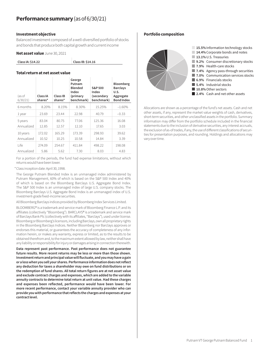#### **Investment objective**

Balanced investment composed of a well-diversified portfolio of stocks and bonds that produce both capital growth and current income

#### **Net asset value** June 30, 2021

| Class IA: \$14.22 | Class IB: \$14.16 |
|-------------------|-------------------|
|                   |                   |

#### **Total return at net asset value**

| (as of<br>6/30/21 | Class IA<br>shares* | Class IB<br>shares* | George<br>Putnam<br>Blended<br>Index<br>(primary<br>benchmark) | S&P 500<br>Index<br>(secondary<br>benchmark) | <b>Bloomberg</b><br><b>Barclays</b><br>U.S.<br>Aggregate<br><b>Bond Index</b> |
|-------------------|---------------------|---------------------|----------------------------------------------------------------|----------------------------------------------|-------------------------------------------------------------------------------|
| 6 months          | 8.20%               | 8.15%               | 8.30%                                                          | 15.25%                                       | $-1.60%$                                                                      |
| 1 year            | 23.69               | 23.44               | 22.98                                                          | 40.79                                        | $-0.33$                                                                       |
| 5 years           | 83.04               | 80.75               | 77.06                                                          | 125.36                                       | 16.08                                                                         |
| Annualized        | 12.85               | 12.57               | 12.10                                                          | 17.65                                        | 3.03                                                                          |
| 10 years          | 172.02              | 165.29              | 173.39                                                         | 298.93                                       | 39.62                                                                         |
| Annualized        | 10.52               | 10.25               | 10.58                                                          | 14.84                                        | 3.39                                                                          |
| l ife             | 274.09              | 254.67              | 411.84                                                         | 498.22                                       | 198.08                                                                        |
| Annualized        | 5.86                | 5.62                | 7.30                                                           | 8.03                                         | 4.83                                                                          |

For a portion of the periods, the fund had expense limitations, without which returns would have been lower.

#### \*Class inception date: April 30, 1998.

The George Putnam Blended Index is an unmanaged index administered by Putnam Management, 60% of which is based on the S&P 500 Index and 40% of which is based on the Bloomberg Barclays U.S. Aggregate Bond Index. The S&P 500 Index is an unmanaged index of large U.S. company stocks. The Bloomberg Barclays U.S. Aggregate Bond Index is an unmanaged index of U.S. investment-grade fixed-income securities.

All Bloomberg Barclays indices provided by Bloomberg Index Services Limited.

BLOOMBERG® is a trademark and service mark of Bloomberg Finance L.P. and its affiliates (collectively "Bloomberg"). BARCLAYS® is a trademark and service mark of Barclays Bank Plc (collectively with its affiliates, "Barclays"), used under license. Bloomberg or Bloomberg's licensors, including Barclays, own all proprietary rights in the Bloomberg Barclays Indices. Neither Bloomberg nor Barclays approves or endorses this material, or guarantees the accuracy of completeness of any information herein, or makes any warranty, express or limited, as to the results to be obtained therefrom and, to the maximum extent allowed by law, neither shall have any liability or responsibility for injury or damages arising in connection therewith.

**Data represent past performance. Past performance does not guarantee future results. More recent returns may be less or more than those shown. Investment return and principal value will fluctuate, and you may have a gain or a loss when you sell your shares. Performance information does not reflect any deduction for taxes a shareholder may owe on fund distributions or on the redemption of fund shares. All total return figures are at net asset value and exclude contract charges and expenses, which are added to the variable annuity contracts to determine total return at unit value. Had these charges and expenses been reflected, performance would have been lower. For more recent performance, contact your variable annuity provider who can provide you with performance that reflects the charges and expenses at your contract level.**

#### **Portfolio composition**



Allocations are shown as a percentage of the fund's net assets. Cash and net other assets, if any, represent the market value weights of cash, derivatives, short-term securities, and other unclassified assets in the portfolio. Summary information may differ from the portfolio schedule included in the financial statements due to the inclusion of derivative securities, any interest accruals, the exclusion of as-of trades, if any, the use of different classifications of securities for presentation purposes, and rounding. Holdings and allocations may vary over time.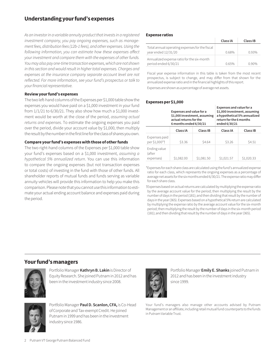# **Understanding your fund's expenses**

*As an investor in a variable annuity product that invests in a registered investment company, you pay ongoing expenses, such as management fees, distribution fees (12b-1 fees), and other expenses. Using the following information, you can estimate how these expenses affect your investment and compare them with the expenses of other funds. You may also pay one-time transaction expenses, which are not shown in this section and would result in higher total expenses. Charges and expenses at the insurance company separate account level are not reflected. For more information, see your fund's prospectus or talk to your financial representative.*

#### **Review your fund's expenses**

The two left-hand columns of the Expenses per \$1,000 table show the expenses you would have paid on a \$1,000 investment in your fund from  $1/1/21$  to  $6/30/21$ . They also show how much a \$1,000 investment would be worth at the close of the period, *assuming actual returns and expenses*. To estimate the ongoing expenses you paid over the period, divide your account value by \$1,000, then multiply the result by the number in the first line for the class of shares you own.

#### **Compare your fund's expenses with those of other funds**

The two right-hand columns of the Expenses per \$1,000 table show your fund's expenses based on a \$1,000 investment, *assuming a hypothetical 5% annualized return*. You can use this information to compare the ongoing expenses (but not transaction expenses or total costs) of investing in the fund with those of other funds. All shareholder reports of mutual funds and funds serving as variable annuity vehicles will provide this information to help you make this comparison. Please note that you cannot use this information to estimate your actual ending account balance and expenses paid during the period.

#### **Expense ratios**

|                                                                       | Class IA | Class IB |
|-----------------------------------------------------------------------|----------|----------|
| Total annual operating expenses for the fiscal<br>year ended 12/31/20 | 0.68%    | 0.93%    |
| Annualized expense ratio for the six-month<br>period ended 6/30/21    | 0.65%    | 0.90%    |

Fiscal year expense information in this table is taken from the most recent prospectus, is subject to change, and may differ from that shown for the annualized expense ratio and in the financial highlights of this report.

Expenses are shown as a percentage of average net assets.

#### **Expenses per \$1,000**

|                                     | Expenses and value for a<br>\$1,000 investment, assuming<br>actual returns for the<br>6 months ended 6/30/21 |            | Expenses and value for a<br>\$1,000 investment, assuming<br>return for the 6 months<br>ended 6/30/21 | a hypothetical 5% annualized |
|-------------------------------------|--------------------------------------------------------------------------------------------------------------|------------|------------------------------------------------------------------------------------------------------|------------------------------|
|                                     | Class IA                                                                                                     | Class IB   | Class IA                                                                                             | Class IB                     |
| Expenses paid<br>per \$1,000*†      | \$3.36                                                                                                       | \$4.64     | \$3.26                                                                                               | \$4.51                       |
| Ending value<br>(after<br>expenses) | \$1,082.00                                                                                                   | \$1,081.50 | \$1,021.57                                                                                           | \$1,020.33                   |

\*Expenses for each share class are calculated using the fund's annualized expense ratio for each class, which represents the ongoing expenses as a percentage of average net assets for the six months ended 6/30/21. The expense ratio may differ for each share class.

†Expenses based on actual returns are calculated by multiplying the expense ratio by the average account value for the period; then multiplying the result by the number of days in the period (181); and then dividing that result by the number of days in the year (365). Expenses based on a hypothetical 5% return are calculated by multiplying the expense ratio by the average account value for the six-month period; then multiplying the result by the number of days in the six-month period (181); and then dividing that result by the number of days in the year (365).

# **Your fund's managers**



Portfolio Manager **Kathryn B. Lakin** is Director of Equity Research. She joined Putnam in 2012 and has been in the investment industry since 2008.



Portfolio Manager **Emily E. Shanks** joined Putnam in 2012 and has been in the investment industry since 1999.

Your fund's managers also manage other accounts advised by Putnam Management or an affiliate, including retail mutual fund counterparts to the funds in Putnam Variable Trust.



Portfolio Manager **Paul D. Scanlon, CFA,** is Co-Head of Corporate and Tax-exempt Credit. He joined Putnam in 1999 and has been in the investment industry since 1986.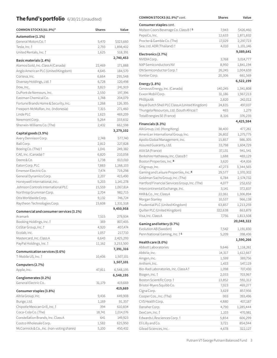# **COMMON STOCKS (61.9%)\*** *common stocks (61.9%)\* cont.* Shares Value **Shares** Value

| COMMON STOCKS (61.9%)*                       | <b>Shares</b> | Value     |
|----------------------------------------------|---------------|-----------|
| Automotive (1.1%)                            |               |           |
| General Motors Co. 1                         | 5,470         | \$323,660 |
| Tesla, Inc. †                                | 2,793         | 1,898,402 |
| United Rentals, Inc. 1                       | 1,625         | 518,391   |
| Basic materials (1.4%)                       |               | 2,740,453 |
| Alamos Gold, Inc. Class A (Canada)           | 22,469        | 171,888   |
| Anglo American PLC (United Kingdom)          | 4,645         | 184,570   |
| Corteva, Inc.                                | 6,664         | 295,548   |
| Diversey Holdings, Ltd. †                    | 6,728         | 120,498   |
| Dow, Inc.                                    | 3,823         | 241,919   |
| DuPont de Nemours, Inc.                      | 2,550         | 197,396   |
| Eastman Chemical Co.                         | 1,748         | 204,079   |
| Fortune Brands Home & Security, Inc.         | 1,268         | 126,305   |
| Freeport-McMoRan, Inc. (Indonesia)           | 7,315         | 271,460   |
| Linde PLC                                    | 1,623         | 469,209   |
| Newmont Corp.                                | 5,264         | 333,632   |
| Sherwin-Williams Co. (The)                   | 2,432         | 662,598   |
| Capital goods (3.9%)                         |               | 3,279,102 |
| Avery Dennison Corp.                         | 2,748         | 577,740   |
| Ball Corp.                                   | 2,812         | 227,828   |
| Boeing Co. (The) t                           | 1,041         | 249,382   |
| CAE, Inc. (Canada) †                         | 6,820         | 210,058   |
| Deere & Co.                                  | 1,738         | 613,010   |
| Eaton Corp. PLC                              | 7,883         | 1,168,103 |
| Emerson Electric Co.                         | 7,474         | 719,298   |
| General Dynamics Corp.                       | 2,207         | 415,490   |
| Honeywell International, Inc.                | 5,203         | 1,141,278 |
| Johnson Controls International PLC           | 15,559        | 1,067,814 |
| Northrop Grumman Corp.                       | 2,704         | 982,715   |
| Otis Worldwide Corp.                         | 9,132         | 746,724   |
| Raytheon Technologies Corp.                  | 15,608        | 1,331,518 |
| Commercial and consumer services (3.1%)      |               | 9,450,958 |
| Aramark                                      | 7,515         | 279,934   |
| Booking Holdings, Inc. 1                     | 369           | 807,405   |
| CoStar Group, Inc. 1                         | 4,920         | 407,474   |
| Ecolab, Inc.                                 | 1,057         | 217,710   |
| Mastercard, Inc. Class A                     | 6,643         | 2,425,293 |
| PayPal Holdings, Inc. †                      | 11,162        | 3,253,500 |
| Communication services (0.6%)                |               | 7,391,316 |
| T-Mobile US, Inc. †                          | 10,406        | 1,507,101 |
| Computers (2.7%)                             |               | 1,507,101 |
| Apple, Inc.                                  | 47,811        | 6,548,195 |
|                                              |               | 6,548,195 |
| Conglomerates (0.2%)<br>General Electric Co. |               | 419,669   |
|                                              | 31,179        | 419,669   |
| Consumer staples (3.8%)                      |               |           |
| Altria Group, Inc.                           | 9,436         | 449,908   |
| Bunge, Ltd.                                  | 1,169         | 91,357    |
| Chipotle Mexican Grill, Inc. 1               | 394           | 610,834   |
| Coca-Cola Co. (The)                          | 18,741        | 1,014,076 |
| Constellation Brands, Inc. Class A           | 641           | 149,923   |
| Costco Wholesale Corp.                       | 1,582         | 625,950   |
| McCormick & Co., Inc. (non-voting shares)    | 5,100         | 450,432   |

| COMMON STOCKS (61.9%)" CONT.                     | <b>Snares</b> | value      |
|--------------------------------------------------|---------------|------------|
| Consumer staples cont.                           |               |            |
| Molson Coors Beverage Co. Class B <sup>+</sup> S | 7,943         | \$426,460  |
| PepsiCo, Inc.                                    | 12,633        | 1,871,832  |
| Procter & Gamble Co. (The)                       | 17,029        | 2,297,723  |
| Sea, Ltd. ADR (Thailand) †                       | 4,010         | 1,101,146  |
|                                                  |               | 9,089,641  |
| Electronics (2.7%)                               |               |            |
| NVIDIA Corp.                                     | 3,768         | 3,014,777  |
| NXP Semiconductors NV                            | 8,950         | 1,841,194  |
| ON Semiconductor Corp.                           | 26,245        | 1,004,659  |
| Vontier Corp.                                    | 20,306        | 661,569    |
| Energy (1.8%)                                    |               | 6,522,199  |
| Cenovus Energy, Inc. (Canada)                    | 140,245       | 1,341,808  |
| Exxon Mobil Corp.                                | 31,186        | 1,967,213  |
| Phillips 66                                      | 2,820         | 242,012    |
| Royal Dutch Shell PLC Class A (United Kingdom)   | 24,835        | 497,037    |
| Thungela Resources, Ltd. (South Africa) †        | 465           | 1,279      |
| TotalEnergies SE (France)                        | 8,316         | 376,235    |
|                                                  |               | 4,425,584  |
| Financials (8.3%)                                |               |            |
| AIA Group, Ltd. (Hong Kong)                      | 38,400        | 477,261    |
| American International Group, Inc.               | 26,802        | 1,275,775  |
| Apollo Global Management, Inc.                   | 15,857        | 986,305    |
| Assured Guaranty, Ltd.                           | 33,798        | 1,604,729  |
| AXA SA (France)                                  | 37,131        | 941,541    |
| Berkshire Hathaway, Inc. Class B +               | 1,688         | 469,129    |
| Boston Properties, Inc. R                        | 3,620         | 414,816    |
| Citigroup, Inc.                                  | 47,273        | 3,344,565  |
| Gaming and Leisure Properties, Inc. R            | 29,577        | 1,370,302  |
| Goldman Sachs Group, Inc. (The)                  | 6,784         | 2,574,732  |
| Hartford Financial Services Group, Inc. (The)    | 4,077         | 252,652    |
| Intercontinental Exchange, Inc.                  | 3,141         | 372,837    |
| KKR & Co., Inc. Class A                          | 22,061        | 1,306,894  |
| Morgan Stanley                                   | 10,537        | 966,138    |
| Prudential PLC (United Kingdom)                  | 63,857        | 1,213,259  |
| Quilter PLC (United Kingdom)                     | 322,638       | 663,879    |
| Visa, Inc. Class A                               | 7,756         | 1,813,508  |
| Gaming and lottery (0.7%)                        |               | 20,048,322 |
| Evolution AB (Sweden)                            | 7,542         | 1,191,830  |
| Penn National Gaming, Inc.   \$                  | 5,209         | 398,436    |
|                                                  |               | 1,590,266  |
| Health care (8.0%)                               |               |            |
| Abbott Laboratories                              | 9,646         | 1,118,261  |
| AbbVie, Inc.                                     | 14,317        | 1,612,667  |
| Amgen, Inc.                                      | 1,599         | 389,756    |
| Anthem, Inc.                                     | 1,433         | 547,119    |
| Bio-Rad Laboratories, Inc. Class A †             | 1,098         | 707,430    |
| Biogen, Inc. †                                   | 2,033         | 703,967    |
| Boston Scientific Corp. 1                        | 13,852        | 592,312    |
| Bristol-Myers Squibb Co.                         | 7,023         | 469,277    |
| Cigna Corp.                                      | 3,619         | 857,956    |
| Cooper Cos., Inc. (The)                          | 993           | 393,496    |
| CVS Health Corp.                                 | 4,880         | 407,187    |
| Danaher Corp.                                    | 4,790         | 1,285,444  |
| DexCom, Inc. †                                   | 1,103         | 470,981    |
| Edwards Lifesciences Corp. 1                     | 5,854         | 606,299    |
| Eli Lilly and Co.                                | 3,721         | 854,044    |
| Gilead Sciences, Inc.                            | 4,678         | 322,127    |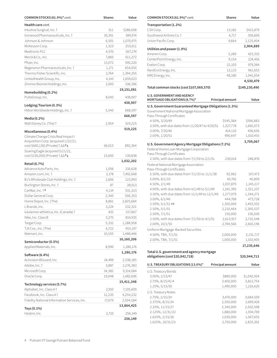| COMMON STOCKS (61.9%)* cont.                 | <b>Shares</b>  | Value                | COMMON STOCKS (61.9%)* cont.                                                                       | <b>Shares</b>           | Value         |
|----------------------------------------------|----------------|----------------------|----------------------------------------------------------------------------------------------------|-------------------------|---------------|
| Health care cont.                            |                |                      | Transportation (1.2%)                                                                              |                         |               |
| Intuitive Surgical, Inc. 1                   | 311            | \$286,008            | CSX Corp.                                                                                          | 13,182                  | \$422,879     |
| Ironwood Pharmaceuticals, Inc. †             | 30,301         | 389,974              | Southwest Airlines Co. 1                                                                           | 6,717                   | 356,606       |
| Johnson & Johnson                            | 6,501          | 1,070,975            | Union Pacific Corp.                                                                                | 9,664                   | 2,125,404     |
| McKesson Corp.                               | 1,323          | 253,011              |                                                                                                    |                         | 2,904,889     |
| Medtronic PLC                                | 4,570          | 567,274              | Utilities and power (1.9%)                                                                         |                         |               |
| Merck & Co., Inc.                            | 7,860          | 611,272              | Ameren Corp.                                                                                       | 5,289                   | 423,332       |
| Pfizer, Inc.                                 | 15,072         | 590,220              | CenterPoint Energy, Inc.                                                                           | 9,154                   | 224,456       |
| Regeneron Pharmaceuticals, Inc.              | 1,171          | 654,050              | Exelon Corp.                                                                                       | 22,103                  | 979,384       |
| Thermo Fisher Scientific, Inc.               | 2,764          | 1,394,355            | NextEra Energy, Inc.                                                                               | 13,123                  | 961,653       |
| UnitedHealth Group, Inc.                     | 4,143          | 1,659,023            | NRG Energy, Inc.                                                                                   | 48,180                  | 1,941,654     |
| Zimmer Biomet Holdings, Inc.                 | 2,093          | 336,596              |                                                                                                    |                         | 4,530,479     |
|                                              |                | 19,151,081           | Total common stocks (cost \$107,069,570)                                                           |                         | \$149,230,490 |
| Homebuilding (0.2%)                          |                |                      |                                                                                                    |                         |               |
| PulteGroup, Inc.                             | 8,043          | 438,907              | U.S. GOVERNMENT AND AGENCY<br>MORTGAGE OBLIGATIONS (8.7%)*                                         | <b>Principal amount</b> | Value         |
| Lodging/Tourism (0.3%)                       |                | 438,907              |                                                                                                    |                         |               |
| Hilton Worldwide Holdings, Inc. †            | 5,543          | 668,597              | U.S. Government Guaranteed Mortgage Obligations (1.5%)<br>Government National Mortgage Association |                         |               |
|                                              |                | 668,597              | Pass-Through Certificates                                                                          |                         |               |
| Media (0.2%)                                 |                |                      | 4.50%, 3/20/49                                                                                     | \$545,384               | \$596,883     |
| Walt Disney Co. (The) $\dagger$              | 2,954          | 519,225              | 3.50%, with due dates from 11/20/47 to 4/20/51                                                     | 1,527,778               | 1,665,073     |
| Miscellaneous (0.4%)                         |                | 519,225              | 3.00%, 7/20/46                                                                                     | 414,110                 | 436,656       |
| Climate Change Crisis Real Impact I          |                |                      | 2.00%, 1/20/51                                                                                     | 990,647                 | 1,010,455     |
| Acquisition Corp. (acquired 1/22/21,         |                |                      |                                                                                                    |                         | 3,709,067     |
| cost \$660,130) (Private) † ∆∆ Fp            | 66,013         | 892,364              | U.S. Government Agency Mortgage Obligations (7.2%)                                                 |                         |               |
| Soaring Eagle (acquired 5/11/21,             |                |                      | Federal Home Loan Mortgage Corporation                                                             |                         |               |
| cost \$156,000) (Private) † ∆∆ Fp            | 15,600         | 139,838              | Pass-Through Certificates<br>2.50%, with due dates from 7/1/50 to 2/1/51                           | 239,014                 | 248,876       |
| Retail (6.7%)                                |                | 1,032,202            |                                                                                                    |                         |               |
| Advance Auto Parts, Inc.                     | 1,056          | 216,628              | Federal National Mortgage Association<br>Pass-Through Certificates                                 |                         |               |
| Amazon.com, Inc. †                           | 2,178          | 7,492,668            | 5.50%, with due dates from 7/1/33 to 11/1/38                                                       | 92,962                  | 107,473       |
| BJ's Wholesale Club Holdings, Inc. †         | 2,606          | 123,993              | 5.00%, 8/1/33                                                                                      | 40,742                  | 45,859        |
| Burlington Stores, Inc. †                    | 87             | 28,013               | 4.50%, 2/1/49                                                                                      | 1,037,879               | 1,145,217     |
| CarMax, Inc. † S                             | 4,114          | 531,323              | 4.00%, with due dates from 4/1/49 to 5/1/49                                                        | 1,241,395               | 1,321,237     |
| Dollar General Corp.                         | 2,340          | 506,353              | 3.50%, with due dates from 11/1/49 to 12/1/49                                                      | 1,277,079               | 1,344,271     |
| Home Depot, Inc. (The)                       | 8,861          | 2,825,684            | 3.00%, 6/1/46                                                                                      | 444,768                 | 473,728       |
| L Brands, Inc.                               | 3,224          | 232,321              | 2.50%, 5/1/51 ##                                                                                   | 1,350,000               | 1,403,552     |
| lululemon athletica, Inc. (Canada) †         | 432            | 157,667              | 2.50%, 5/1/51                                                                                      | 2,210,464               | 2,300,537     |
| Nike, Inc. Class B                           | 5,275          | 814,935              | 2.50%, 7/1/51                                                                                      | 150,000                 | 156,030       |
| Target Corp.                                 |                |                      | 2.50%, with due dates from 7/1/50 to 4/1/51                                                        | 2,613,917               | 2,710,548     |
| TJX Cos., Inc. (The)                         | 5,332<br>6,722 | 1,288,958<br>453,197 | 2.00%, 10/1/50                                                                                     | 2,784,566               | 2,816,196     |
| Walmart, Inc.                                | 10,555         | 1,488,466            | Uniform Mortgage-Backed Securities                                                                 |                         |               |
|                                              |                |                      | 4.50%, TBA, 7/1/51                                                                                 | 2,000,000               | 2,151,717     |
| Semiconductor (0.5%)                         |                | 16,160,206           | 2.00%, TBA, 7/1/51                                                                                 | 1,000,000               | 1,010,405     |
| Applied Materials, Inc.                      | 8,990          | 1,280,176            |                                                                                                    |                         | 17,235,646    |
| Software (6.4%)                              |                | 1,280,176            | Total U.S. government and agency mortgage                                                          |                         |               |
| Activision Blizzard, Inc.                    | 24,499         | 2,338,185            | obligations (cost \$20,842,718)                                                                    |                         | \$20,944,713  |
| Adobe, Inc. †                                | 3,887          | 2,276,383            | U.S. TREASURY OBLIGATIONS (13.0%)*                                                                 | Principal amount        | Value         |
| Microsoft Corp.                              | 34,382         | 9,314,084            | U.S. Treasury Bonds                                                                                |                         |               |
| Oracle Corp.                                 | 19,048         | 1,482,696            | 3.00%, 2/15/47                                                                                     | \$880,000               | \$1,042,934   |
|                                              |                | 15,411,348           | 2.75%, 8/15/42 #                                                                                   | 3,400,000               | 3,822,754     |
| Technology services (5.7%)                   |                |                      | 1.25%, 5/15/50                                                                                     | 1,490,000               | 1,216,620     |
| Alphabet, Inc. Class A <sup>+</sup>          | 2,910          | 7,105,609            | U.S. Treasury Notes                                                                                |                         |               |
| Facebook, Inc. Class A <sup>+</sup>          | 12,235         | 4,254,232            | 2.75%, 2/15/24                                                                                     | 3,470,000               | 3,684,559     |
| Fidelity National Information Services, Inc. | 17,679         | 2,504,584            | 2.375%, 8/15/24                                                                                    | 2,550,000               | 2,699,426     |
|                                              |                | 13,864,425           | 2.25%, 11/15/27                                                                                    | 2,340,000               | 2,502,598     |
| Toys (0.1%)<br>Hasbro, Inc.                  | 2,710          | 256,149              | 2.125%, 12/31/22                                                                                   | 1,880,000               | 1,934,769     |
|                                              |                | 256,149              | 1.625%, 2/15/26                                                                                    | 1,030,000               | 1,067,655     |
|                                              |                |                      | 1625% 10/31/23                                                                                     | 2.750.000               | 2833301       |

| COMMON STOCKS (61.9%)" CONT.                             | <b>Shares</b>           | value                  |
|----------------------------------------------------------|-------------------------|------------------------|
| Transportation (1.2%)                                    |                         |                        |
| CSX Corp.                                                | 13,182                  | \$422,879              |
| Southwest Airlines Co. 1                                 | 6,717                   | 356,606                |
| Union Pacific Corp.                                      | 9,664                   | 2,125,404              |
|                                                          |                         | 2,904,889              |
| Utilities and power (1.9%)                               | 5,289                   |                        |
| Ameren Corp.                                             |                         | 423,332                |
| CenterPoint Energy, Inc.                                 | 9,154                   | 224,456                |
| Exelon Corp.                                             | 22,103                  | 979,384                |
| NextEra Energy, Inc.                                     | 13,123                  | 961,653                |
| NRG Energy, Inc.                                         | 48,180                  | 1,941,654              |
|                                                          |                         | 4,530,479              |
| Total common stocks (cost \$107,069,570)                 |                         | \$149,230,490          |
| U.S. GOVERNMENT AND AGENCY                               |                         |                        |
| <b>MORTGAGE OBLIGATIONS (8.7%)*</b>                      | <b>Principal amount</b> | Value                  |
| U.S. Government Guaranteed Mortgage Obligations (1.5%)   |                         |                        |
| Government National Mortgage Association                 |                         |                        |
| Pass-Through Certificates                                |                         |                        |
| 4.50%, 3/20/49                                           | \$545,384               | \$596,883              |
| 3.50%, with due dates from 11/20/47 to 4/20/51           | 1,527,778               | 1,665,073              |
| 3.00%, 7/20/46                                           | 414,110                 | 436,656                |
| 2.00%, 1/20/51                                           | 990,647                 | 1,010,455              |
| U.S. Government Agency Mortgage Obligations (7.2%)       |                         | 3,709,067              |
| Federal Home Loan Mortgage Corporation                   |                         |                        |
| Pass-Through Certificates                                |                         |                        |
| 2.50%, with due dates from 7/1/50 to 2/1/51              | 239,014                 | 248,876                |
| Federal National Mortgage Association                    |                         |                        |
| Pass-Through Certificates                                |                         |                        |
| 5.50%, with due dates from 7/1/33 to 11/1/38             | 92,962                  | 107,473                |
| 5.00%, 8/1/33                                            | 40,742                  | 45,859                 |
| 4.50%, 2/1/49                                            | 1,037,879               | 1,145,217              |
| 4.00%, with due dates from 4/1/49 to 5/1/49              | 1,241,395               | 1,321,237              |
| 3.50%, with due dates from 11/1/49 to 12/1/49            | 1,277,079               | 1,344,271              |
| 3.00%, 6/1/46                                            | 444,768                 | 473,728                |
| 2.50%, 5/1/51 ##                                         | 1,350,000               | 1,403,552              |
| 2.50%, 5/1/51                                            | 2,210,464               | 2,300,537              |
| 2.50%, 7/1/51                                            | 150,000                 | 156,030                |
| 2.50%, with due dates from 7/1/50 to 4/1/51              | 2,613,917               | 2,710,548              |
| 2.00%, 10/1/50                                           | 2,784,566               | 2,816,196              |
|                                                          |                         |                        |
|                                                          |                         |                        |
| Uniform Mortgage-Backed Securities<br>4.50%, TBA, 7/1/51 | 2,000,000               |                        |
| 2.00%, TBA, 7/1/51                                       | 1,000,000               | 2,151,717<br>1,010,405 |
|                                                          |                         | 17,235,646             |
| Total U.S. government and agency mortgage                |                         |                        |
|                                                          |                         |                        |

| U.S. TREASURY OBLIGATIONS (13.0%)* | <b>Principal amount</b> | Value       |
|------------------------------------|-------------------------|-------------|
| U.S. Treasury Bonds                |                         |             |
| 3.00%, 2/15/47                     | \$880,000               | \$1,042,934 |
| 2.75%, 8/15/42 #                   | 3,400,000               | 3,822,754   |
| 1.25%, 5/15/50                     | 1,490,000               | 1,216,620   |
| U.S. Treasury Notes                |                         |             |
| 2.75%, 2/15/24                     | 3,470,000               | 3,684,559   |
| 2.375%, 8/15/24                    | 2,550,000               | 2,699,426   |
| 2.25%, 11/15/27                    | 2.340.000               | 2,502,598   |
| 2.125%, 12/31/22                   | 1,880,000               | 1,934,769   |
| 1.625%, 2/15/26                    | 1,030,000               | 1,067,655   |
| 1.625%, 10/31/23                   | 2.750.000               | 2,833,301   |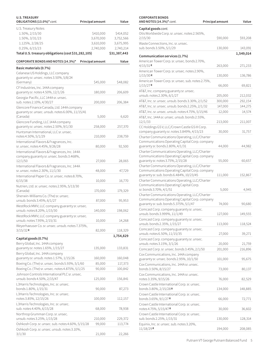| <b>U.S. TREASURY</b><br>OBLIGATIONS (13.0%)* cont.  | <b>Principal amount</b> | Value        |
|-----------------------------------------------------|-------------------------|--------------|
| U.S. Treasury Notes                                 |                         |              |
| 1.50%, 2/15/30                                      | \$410,000               | \$414,052    |
| 1.50%, 3/31/23                                      | 3,670,000               | 3,752,566    |
| 1.125%, 2/28/25                                     | 3,610,000               | 3,675,995    |
| 0.25%, 6/15/23                                      | 2,740,000               | 2,740,214    |
| Total U.S. treasury obligations (cost \$31,282,105) |                         | \$31,387,443 |
| CORPORATE BONDS AND NOTES (14.3%)*                  | <b>Principal amount</b> | Value        |
| Basic materials (0.7%)                              |                         |              |
| Celanese US Holdings, LLC company                   |                         |              |
| guaranty sr. unsec. notes 3.50%, 5/8/24             |                         |              |
| (Germany)                                           | \$45,000                | \$48,082     |
| CF Industries, Inc. 144A company                    |                         |              |
| guaranty sr. notes 4.50%, 12/1/26                   | 180,000                 | 206,609      |
| Georgia-Pacific, LLC 144A sr. unsec.                |                         |              |
| sub. notes 2.10%, 4/30/27                           | 200,000                 | 206,384      |
| Glencore Finance Canada, Ltd. 144A company          |                         |              |
| guaranty sr. unsec. unsub. notes 6.00%, 11/15/41    |                         |              |
| (Canada)                                            | 5,000                   | 6,620        |
| Glencore Funding, LLC 144A company                  |                         |              |
| guaranty sr. unsec. notes 2.50%, 9/1/30             | 258,000                 | 257,370      |
| Huntsman International, LLC sr. unsec.              |                         |              |
|                                                     |                         |              |
| notes 4.50%, 5/1/29                                 | 210,000                 | 238,759      |
| International Flavors & Fragrances, Inc.            |                         |              |
| sr. unsec. notes 4.45%, 9/26/28                     | 80,000                  | 92,500       |
| International Flavors & Fragrances, Inc. 144A       |                         |              |
| company guaranty sr. unsec. bonds 3.468%,           |                         |              |
| 12/1/50                                             | 27,000                  | 28,065       |
| International Flavors & Fragrances, Inc. 144A       |                         |              |
| sr. unsec. notes 2.30%, 11/1/30                     | 48,000                  | 47,729       |
| International Paper Co. sr. unsec. notes 8.70%,     |                         |              |
| 6/15/38                                             | 10,000                  | 16,770       |
| Nutrien, Ltd. sr. unsec. notes 2.95%, 5/13/30       |                         |              |
| (Canada)                                            | 170,000                 | 179,329      |
| Sherwin-Williams Co. (The) sr. unsec.               |                         |              |
| unsub. bonds 3.45%, 6/1/27                          | 87,000                  | 95,953       |
| WestRock MWV, LLC company guaranty sr. unsec.       |                         |              |
| unsub. notes 8.20%, 1/15/30                         | 140,000                 | 198,062      |
| WestRock MWV, LLC company guaranty sr. unsec.       |                         |              |
| unsub. notes 7.95%, 2/15/31                         | 10,000                  | 14,268       |
| Weyerhaeuser Co. sr. unsec. unsub. notes 7.375%,    |                         |              |
| $3/15/32$ R                                         | 82,000                  | 118,329      |
|                                                     |                         | 1,754,829    |
| Capital goods (0.7%)                                |                         |              |
| Berry Global, Inc. 144A company                     |                         |              |
| guaranty sr. notes 1.65%, 1/15/27                   | 135,000                 | 133,831      |
| Berry Global, Inc. 144A company                     |                         |              |
| guaranty sr. unsub. notes 1.57%, 1/15/26            | 160,000                 | 160,048      |
| Boeing Co. (The) sr. unsec. bonds 5.93%, 5/1/60     | 85,000                  | 117,373      |
| Boeing Co. (The) sr. unsec. notes 4.875%, 5/1/25    | 90,000                  | 100,842      |
| Johnson Controls International PLC sr. unsec.       |                         |              |
| unsub. bonds 4.50%, 2/15/47                         | 125,000                 | 156,841      |
| L3Harris Technologies, Inc. sr. unsec.              |                         |              |
|                                                     |                         |              |
| bonds 1.80%, 1/15/31                                | 90,000                  | 87,273       |
| L3Harris Technologies, Inc. sr. unsec.              |                         |              |
| notes 3.85%, 12/15/26                               | 100,000                 | 112,157      |
| L3Harris Technologies, Inc. sr. unsec.              |                         |              |
| sub. notes 4.40%, 6/15/28                           | 68,000                  | 78,938       |
| Northrop Grumman Corp. sr. unsec.                   |                         |              |
| unsub. notes 3.25%, 1/15/28                         | 210,000                 | 229,372      |
| Oshkosh Corp. sr. unsec. sub. notes 4.60%, 5/15/28  | 99,000                  | 113,774      |
| Oshkosh Corp. sr. unsec. unsub. notes 3.10%,        |                         |              |
| 3/1/30                                              | 21,000                  | 22,266       |

| AND NOTES (14.3%)* cont.                                                  | <b>Principal amount</b> | Value     |
|---------------------------------------------------------------------------|-------------------------|-----------|
| Capital goods cont.                                                       |                         |           |
| Otis Worldwide Corp. sr. unsec. notes 2.565%,                             |                         |           |
| 2/15/30                                                                   | \$90,000                | \$93,208  |
| Waste Connections, Inc. sr. unsec.                                        |                         |           |
| sub. bonds 3.50%, 5/1/29                                                  | 130,000                 |           |
|                                                                           |                         | 143,091   |
| Communication services (1.7%)                                             |                         | 1,549,014 |
| American Tower Corp. sr. unsec. bonds 2.70%,                              |                         |           |
| $4/15/31$ R                                                               | 263,000                 | 271,233   |
| American Tower Corp. sr. unsec. notes 2.90%,                              |                         |           |
| 1/15/30R                                                                  | 130,000                 | 136,786   |
| American Tower Corp. sr. unsec. sub. notes 2.75%,                         |                         |           |
| $1/15/27$ R                                                               | 66,000                  | 69,821    |
|                                                                           |                         |           |
| AT&T, Inc. company guaranty sr. unsec.<br>unsub.notes 2.30%, 6/1/27       |                         |           |
|                                                                           | 205,000                 | 212,032   |
| AT&T, Inc. sr. unsec. unsub. bonds 3.30%, 2/1/52                          | 300,000                 | 292,154   |
| AT&T, Inc. sr. unsec. unsub. bonds 2.25%, 2/1/32                          | 147,000                 | 144,275   |
| AT&T, Inc. sr. unsec. unsub. notes 4.75%, 5/15/46                         | 12,000                  | 14,574    |
| AT&T, Inc. 144A sr. unsec. unsub. bonds 2.55%,                            |                         |           |
| 12/1/33                                                                   | 213,000                 | 211,007   |
| CC Holdings GSV, LLC/Crown Castle GS III Corp.                            |                         |           |
| company guaranty sr. notes 3.849%, 4/15/23                                | 30,000                  | 31,757    |
| Charter Communications Operating, LLC/Charter                             |                         |           |
| Communications Operating Capital Corp. company                            |                         |           |
| guaranty sr. bonds 2.80%, 4/1/31                                          | 44,000                  | 44,982    |
| Charter Communications Operating, LLC/Charter                             |                         |           |
| Communications Operating Capital Corp. company                            |                         |           |
| guaranty sr. notes 3.75%, 2/15/28                                         | 55,000                  | 60,657    |
| Charter Communications Operating, LLC/Charter                             |                         |           |
| Communications Operating Capital Corp. company                            |                         |           |
| guaranty sr. sub. bonds 6.484%, 10/23/45                                  | 111,000                 | 152,867   |
| Charter Communications Operating, LLC/Charter                             |                         |           |
| Communications Operating Capital Corp.                                    |                         |           |
| sr. bonds 3.70%, 4/1/51                                                   | 5,000                   | 4,945     |
| Charter Communications Operating, LLC/Charter                             |                         |           |
| Communications Operating Capital Corp. company                            |                         |           |
| guaranty sr. sub. bonds 5.375%, 5/1/47                                    | 74,000                  | 90,680    |
|                                                                           |                         |           |
| Comcast Corp. company guaranty sr. unsec.<br>unsub. bonds 3.999%, 11/1/49 | 127,000                 | 149,555   |
|                                                                           |                         |           |
| Comcast Corp. company guaranty sr. unsec.                                 |                         |           |
| unsub. bonds 2.35%, 1/15/27                                               | 113,000                 | 118,524   |
| Comcast Corp. company guaranty sr. unsec.                                 |                         |           |
| unsub.notes 6.50%, 11/15/35                                               | 27,000                  | 39,271    |
| Comcast Corp. company guaranty sr. unsec.                                 |                         |           |
| unsub. notes 3.15%, 3/1/26                                                | 20,000                  | 21,759    |
| Comcast Corp. sr. unsec. bonds 3.45%, 2/1/50                              | 201,000                 | 216,896   |
| Cox Communications, Inc. 144A company                                     |                         |           |
| guaranty sr. unsec. bonds 2.95%, 10/1/50                                  | 101,000                 | 95,675    |
| Cox Communications, Inc. 144A sr. unsec.                                  |                         |           |
| bonds 3.50%, 8/15/27                                                      | 73,000                  | 80,137    |
| Cox Communications, Inc. 144A sr. unsec.                                  |                         |           |
| notes 3.35%, 9/15/26                                                      | 76,000                  | 82,529    |
| Crown Castle International Corp. sr. unsec.                               |                         |           |
| bonds 3.80%, 2/15/28 R                                                    | 134,000                 | 148,885   |
| Crown Castle International Corp. sr. unsec.                               |                         |           |
| bonds 3.65%, 9/1/27R                                                      | 66,000                  | 72,771    |
|                                                                           |                         |           |
| Crown Castle International Corp. sr. unsec.                               |                         |           |
| notes 4.75%, 5/15/47 R                                                    | 30,000                  | 36,602    |
| Crown Castle International Corp. sr. unsec.                               |                         |           |
| sub. bonds 2.25%, 1/15/31                                                 | 130,000                 | 128,314   |
| Equinix, Inc. sr. unsec. sub. notes 3.20%,                                |                         |           |
| $11/18/29$ R                                                              | 194,000                 | 208,085   |

**CORPORATE BONDS**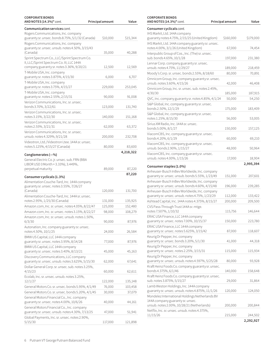| <b>CORPORATE BONDS</b><br>AND NOTES (14.3%)* cont.                                                                                     | <b>Principal amount</b> | Value     |
|----------------------------------------------------------------------------------------------------------------------------------------|-------------------------|-----------|
| Communication services cont.                                                                                                           |                         |           |
| Rogers Communications, Inc. company                                                                                                    |                         |           |
| guaranty sr. unsec. bonds 8.75%, 5/1/32 (Canada)                                                                                       | \$10,000                | \$15,344  |
| Rogers Communications, Inc. company<br>guaranty sr. unsec. unsub. notes 4.50%, 3/15/43                                                 |                         |           |
| (Canada)                                                                                                                               | 35,000                  | 40,288    |
| Sprint Spectrum Co., LLC/Sprint Spectrum Co.<br>II, LLC/Sprint Spectrum Co. III, LLC 144A<br>company guaranty sr. notes 3.36%, 9/20/21 | 12,500                  | 12,569    |
| T-Mobile USA, Inc. company                                                                                                             |                         |           |
| guaranty sr. notes 3.875%, 4/15/30                                                                                                     | 6,000                   | 6,707     |
| T-Mobile USA, Inc. company<br>guaranty sr. notes 3.75%, 4/15/27                                                                        | 229,000                 | 253,045   |
| T-Mobile USA, Inc. company                                                                                                             |                         |           |
| guaranty sr. notes 2.55%, 2/15/31                                                                                                      | 90,000                  | 91,008    |
| Verizon Communications, Inc. sr. unsec.<br>bonds 3.70%, 3/22/61                                                                        | 123,000                 | 131,740   |
| Verizon Communications, Inc. sr. unsec.<br>notes 3.15%, 3/22/30                                                                        | 140,000                 | 151,168   |
| Verizon Communications, Inc. sr. unsec.                                                                                                |                         |           |
| notes 2.55%, 3/21/31                                                                                                                   | 62,000                  | 63,372    |
| Verizon Communications, Inc. sr. unsec.<br>unsub. notes 4.329%, 9/21/28                                                                | 200,000                 | 232,708   |
| Videotron, Ltd./Videotron Ltee. 144A sr. unsec.                                                                                        |                         |           |
| notes 5.125%, 4/15/27 (Canada)                                                                                                         | 80,000                  | 83,600    |
| Conglomerates (-%)                                                                                                                     |                         | 4,218,322 |
| General Electric Co. jr. unsec. sub. FRN (BBA                                                                                          |                         |           |
| LIBOR USD 3 Month + 3.33%), 3.449%,                                                                                                    |                         |           |
| perpetual maturity                                                                                                                     | 89,000                  | 87,220    |
|                                                                                                                                        |                         | 87,220    |
| Consumer cyclicals (1.3%)<br>Alimentation Couche-Tard, Inc. 144A company                                                               |                         |           |
| guaranty sr. unsec. notes 3.55%, 7/26/27<br>(Canada)                                                                                   | 120,000                 | 131,700   |
| Alimentation Couche-Tard, Inc. 144A sr. unsec.                                                                                         |                         |           |
| notes 2.95%, 1/25/30 (Canada)                                                                                                          | 131,000                 | 135,925   |
| Amazon.com, Inc. sr. unsec. notes 4.05%, 8/22/47                                                                                       | 125,000                 | 152,480   |
| Amazon.com, Inc. sr. unsec. notes 3.15%, 8/22/27                                                                                       | 98,000                  | 108,279   |
| Amazon.com, Inc. sr. unsec. unsub. notes 1.50%,                                                                                        |                         |           |
| 6/3/30                                                                                                                                 | 90,000                  | 87,976    |
| Autonation, Inc. company guaranty sr. unsec.<br>notes 4.50%, 10/1/25                                                                   | 24,000                  | 26,584    |
| BMW US Capital, LLC 144A company                                                                                                       |                         |           |
| guaranty sr. unsec. notes 3.95%, 8/14/28                                                                                               | 77,000                  | 87,976    |
| BMW US Capital, LLC 144A company                                                                                                       |                         |           |
| guaranty sr. unsec. notes 3.40%, 8/13/21                                                                                               | 45,000                  | 45,163    |
| Discovery Communications, LLC company<br>guaranty sr. unsec. unsub. notes 3.625%, 5/15/30                                              | 62,000                  | 67,641    |
| Dollar General Corp. sr. unsec. sub. notes 3.25%,<br>4/15/23                                                                           | 60,000                  | 62,611    |
| Ecolab, Inc. sr. unsec. unsub. notes 3.25%,                                                                                            |                         |           |
| 12/1/27                                                                                                                                | 122,000                 | 135,148   |
| General Motors Co. sr. unsec. bonds 5.95%, 4/1/49                                                                                      | 76,000                  | 103,458   |
| General Motors Co. sr. unsec. bonds 5.20%, 4/1/45                                                                                      | 30,000                  | 37,079    |
| General Motors Financial Co., Inc. company                                                                                             |                         |           |
| guaranty sr. unsec. notes 4.00%, 10/6/26                                                                                               | 40,000                  | 44,161    |
| General Motors Financial Co., Inc. company<br>guaranty sr. unsec. unsub. notes 4.30%, 7/13/25                                          | 47,000                  | 51,941    |
| Global Payments, Inc. sr. unsec. notes 2.90%,                                                                                          |                         |           |
| 5/15/30                                                                                                                                | 117,000                 | 121,898   |

| <b>CORPORATE BONDS</b><br>AND NOTES (14.3%)* cont.                                              | Principal amount | Value                |
|-------------------------------------------------------------------------------------------------|------------------|----------------------|
| Consumer cyclicals cont.                                                                        |                  |                      |
| IHS Markit, Ltd. 144A company<br>guaranty notes 4.75%, 2/15/25 (United Kingdom)                 | \$160,000        | \$179,000            |
| IHS Markit, Ltd. 144A company guaranty sr. unsec.<br>notes 4.00%, 3/1/26 (United Kingdom)       | 67,000           | 74,454               |
| Interpublic Group of Cos., Inc. (The) sr. unsec.<br>sub. bonds 4.65%, 10/1/28                   | 197,000          | 231,380              |
| Lennar Corp. company guaranty sr. unsec.<br>unsub. notes 4.75%, 11/29/27                        | 189,000          | 218,459              |
| Moody's Corp. sr. unsec. bonds 2.55%, 8/18/60                                                   | 80,000           | 70,891               |
| Omnicom Group, Inc. company guaranty sr. unsec.<br>unsub. notes 3.60%, 4/15/26                  | 42,000           | 46,408               |
| Omnicom Group, Inc. sr. unsec. sub. notes 2.45%,<br>4/30/30                                     | 185,000          | 187,915              |
| QVC, Inc. company guaranty sr. notes 4.85%, 4/1/24                                              | 50,000           | 54,250               |
| S&P Global, Inc. company guaranty sr. unsec.<br>bonds 2.50%, 12/1/29                            | 175,000          | 183,409              |
| S&P Global, Inc. company guaranty sr. unsec.<br>notes 1.25%, 8/15/30                            | 56,000           | 53,005               |
| Sirius XM Radio, Inc. 144A sr. unsec.<br>bonds 5.00%, 8/1/27                                    | 150,000          | 157,125              |
| ViacomCBS, Inc. company guaranty sr. unsec.<br>bonds 4.20%, 6/1/29                              | 60,000           | 69,210               |
| ViacomCBS, Inc. company guaranty sr. unsec.<br>unsub. bonds 2.90%, 1/15/27                      | 48,000           | 50,964               |
| ViacomCBS, Inc. company guaranty sr. unsec.<br>unsub. notes 4.00%, 1/15/26                      | 17,000           | 18,904               |
| Consumer staples (1.0%)                                                                         |                  | 2,995,394            |
| Anheuser-Busch InBev Worldwide, Inc. company                                                    |                  |                      |
| guaranty sr. unsec. unsub. bonds 5.55%, 1/23/49                                                 | 151,000          | 207,601              |
| Anheuser-Busch InBev Worldwide, Inc. company<br>guaranty sr. unsec. unsub. bonds 4.60%, 4/15/48 | 196,000          | 239,285              |
| Anheuser-Busch InBev Worldwide, Inc. company<br>guaranty sr. unsec. unsub. notes 4.75%, 1/23/29 | 112,000          | 133,422              |
| Ashtead Capital, Inc. 144A notes 4.375%, 8/15/27                                                | 200,000          | 209,500              |
| CVS Pass-Through Trust 144A sr. mtge.<br>notes 7.507%, 1/10/32                                  | 115,756          | 146,644              |
| ERAC USA Finance, LLC 144A company<br>guaranty sr. unsec. notes 7.00%, 10/15/37                 | 150,000          | 223,780              |
| ERAC USA Finance, LLC 144A company                                                              |                  |                      |
| guaranty sr. unsec. notes 5.625%, 3/15/42<br>Keurig Dr Pepper, Inc. company                     | 87,000           | 118,607              |
| guaranty sr. unsec. bonds 3.20%, 5/1/30                                                         | 41,000           | 44,318               |
| Keurig Dr Pepper, Inc. company<br>guaranty sr. unsec. notes 2.25%, 3/15/31                      | 115,000          | 115,934              |
| Keurig Dr Pepper, Inc. company<br>guaranty sr. unsec. unsub. notes 4.597%, 5/25/28              | 80,000           | 93,928               |
| Kraft Heinz Foods Co. company guaranty sr. unsec.<br>bonds 4.375%, 6/1/46                       | 140,000          | 158,648              |
| Kraft Heinz Foods Co. company guaranty sr. unsec.<br>sub. notes 3.875%, 5/15/27                 | 29,000           | 31,864               |
| Lamb Weston Holdings, Inc. 144A company<br>guaranty sr. unsec. unsub. notes 4.875%, 11/1/26     | 120,000          | 124,050              |
| Mondelez International Holdings Netherlands BV                                                  |                  |                      |
| 144A company guaranty sr. unsec.<br>unsub. notes 2.00%, 10/28/21 (Netherlands)                  | 200,000          | 200,844              |
| Netflix, Inc. sr. unsec. unsub. notes 4.375%,                                                   |                  |                      |
| 11/15/26                                                                                        | 215,000          | 244,502<br>2,292,927 |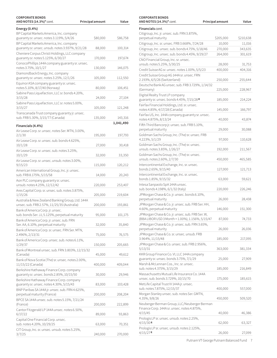| <b>CORPORATE BONDS</b><br>AND NOTES (14.3%)* cont.                                              | Principal amount | Value     |
|-------------------------------------------------------------------------------------------------|------------------|-----------|
| Energy (0.4%)                                                                                   |                  |           |
| BP Capital Markets America, Inc. company                                                        |                  |           |
| guaranty sr. unsec. notes 3.119%, 5/4/26                                                        | \$80,000         | \$86,758  |
| BP Capital Markets America, Inc. company<br>guaranty sr. unsec. unsub. notes 3.937%, 9/21/28    | 88,000           | 100,314   |
| Cheniere Corpus Christi Holdings, LLC company                                                   |                  |           |
| guaranty sr. notes 5.125%, 6/30/27<br>ConocoPhillips 144A company guaranty sr. unsec.           | 170,000          | 197,674   |
| notes 3.75%, 10/1/27                                                                            | 130,000          | 146,075   |
| Diamondback Energy, Inc. company<br>guaranty sr. unsec. notes 3.25%, 12/1/26                    | 105,000          | 112,550   |
| Equinor ASA company guaranty sr. unsec.<br>notes 5.10%, 8/17/40 (Norway)                        | 80,000           | 106,451   |
| Sabine Pass Liquefaction, LLC sr. bonds 4.20%,                                                  |                  |           |
| 3/15/28                                                                                         | 24,000           | 27,104    |
| Sabine Pass Liquefaction, LLC sr. notes 5.00%,<br>3/15/27                                       | 105,000          | 121,248   |
| Transcanada Trust company guaranty jr. unsec.<br>sub. FRB 5.30%, 3/15/77 (Canada)               | 135,000          | 143,316   |
|                                                                                                 |                  | 1,041,490 |
| Financials (4.4%)<br>Air Lease Corp. sr. unsec. notes Ser. MTN, 3.00%,                          |                  |           |
| 2/1/30                                                                                          | 195,000          | 197,793   |
| Air Lease Corp. sr. unsec. sub. bonds 4.625%,<br>10/1/28                                        | 27,000           | 30,418    |
| Air Lease Corp. sr. unsec. sub. notes 3.25%,<br>10/1/29                                         | 32,000           | 33,350    |
| Air Lease Corp. sr. unsec. unsub. notes 3.00%,                                                  |                  |           |
| 9/15/23                                                                                         | 115,000          | 120,212   |
| American International Group, Inc. jr. unsec.<br>sub. FRB 8.175%, 5/15/58                       | 14,000           | 20,243    |
| Aon PLC company guaranty sr. unsec.<br>unsub. notes 4.25%, 12/12/42                             | 220,000          | 253,407   |
| Ares Capital Corp. sr. unsec. sub. notes 3.875%,<br>1/15/26                                     | 205,000          | 219,604   |
| Australia & New Zealand Banking Group, Ltd. 144A<br>unsec. sub. FRB 2.57%, 11/25/35 (Australia) | 200,000          | 193,861   |
| Bank of America Corp. jr. unsec.<br>sub. bonds Ser. JJ, 5.125%, perpetual maturity              | 95,000           | 101,175   |
| Bank of America Corp. jr. unsec. sub. FRN<br>Ser. AA, 6.10%, perpetual maturity                 | 32,000           | 35,840    |
| Bank of America Corp. sr. unsec. FRN Ser. MTN,                                                  |                  |           |
| 2.496%, 2/13/31                                                                                 | 75,000           | 76,575    |
| Bank of America Corp. unsec. sub. notes 6.11%,<br>1/29/37                                       | 150,000          | 205,665   |
| Bank of Montreal unsec. sub. FRN 3.803%, 12/15/32<br>(Canada)                                   | 45,000           | 49,612    |
| Bank of Nova Scotia (The) sr. unsec. notes 2.00%,<br>11/15/22 (Canada)                          | 400,000          | 409,044   |
| Berkshire Hathaway Finance Corp. company<br>guaranty sr. unsec. bonds 2.85%, 10/15/50           | 30,000           | 29,946    |
| Berkshire Hathaway Finance Corp. company<br>guaranty sr. unsec. notes 4.30%, 5/15/43            | 83,000           | 103,428   |
| BNP Paribas SA 144A jr. unsec. sub. FRN 4.625%,<br>perpetual maturity (France)                  | 200,000          | 208,204   |
| BPCE SA 144A unsec. sub. notes 5.15%, 7/21/24<br>(France)                                       | 200,000          | 222,899   |
| Cantor Fitzgerald LP 144A unsec. notes 6.50%,                                                   |                  |           |
| 6/17/22                                                                                         | 89,000           | 93,863    |
| Capital One Financial Corp. unsec.<br>sub. notes 4.20%, 10/29/25                                | 63,000           | 70,351    |
| CIT Group, Inc. sr. unsec. unsub. notes 5.25%,<br>3/7/25                                        | 240,000          | 270,000   |

| <b>CORPORATE BONDS</b><br>AND NOTES (14.3%)* cont.                                          | <b>Principal amount</b> | Value     |
|---------------------------------------------------------------------------------------------|-------------------------|-----------|
| Financials cont.                                                                            |                         |           |
| Citigroup, Inc. jr. unsec. sub. FRN 3.875%,                                                 |                         |           |
| perpetual maturity                                                                          | \$205,000               | \$210,638 |
| Citigroup, Inc. sr. unsec. FRB 3.668%, 7/24/28                                              | 10,000                  | 11,016    |
| Citigroup, Inc. unsec. sub. bonds 4.75%, 5/18/46                                            | 270,000                 | 343,635   |
| Citigroup, Inc. unsec. sub. bonds 4.45%, 9/29/27                                            | 264,000                 | 301,619   |
| CNO Financial Group, Inc. sr. unsec.                                                        |                         |           |
| unsub. notes 5.25%, 5/30/25                                                                 | 28,000                  | 31,753    |
| Credit Suisse AG sr. unsec. notes 1.00%, 5/5/23                                             | 400,000                 | 404,316   |
| Credit Suisse Group AG 144A sr. unsec. FRN<br>2.193%, 6/5/26 (Switzerland)                  | 250,000                 | 255,644   |
| Deutsche Bank AG unsec. sub. FRB 3.729%, 1/14/32<br>(Germany)                               | 225,000                 | 228,967   |
| Digital Realty Trust LP company                                                             |                         |           |
| guaranty sr. unsec. bonds 4.45%, 7/15/28 R                                                  | 185,000                 | 214,224   |
| Fairfax Financial Holdings, Ltd. sr. unsec.                                                 |                         |           |
| notes 4.85%, 4/17/28 (Canada)                                                               | 145,000                 | 166,797   |
| Fairfax US, Inc. 144A company guaranty sr. unsec.                                           |                         |           |
| notes 4.875%, 8/13/24                                                                       | 40,000                  | 43,874    |
| Fifth Third Bancorp jr. unsec. sub. FRB 5.10%,<br>perpetual maturity                        | 29,000                  | 30,088    |
| Goldman Sachs Group, Inc. (The) sr. unsec. FRB                                              |                         |           |
| 4.223%, 5/1/29<br>Goldman Sachs Group, Inc. (The) sr. unsec.                                | 97,000                  | 110,628   |
| unsub. notes 3.85%, 1/26/27                                                                 | 192,000                 | 211,567   |
| Goldman Sachs Group, Inc. (The) sr. unsec.<br>unsub. notes 2.60%, 2/7/30                    | 450,000                 | 465,585   |
| Intercontinental Exchange, Inc. sr. unsec.                                                  |                         |           |
| bonds 2.65%, 9/15/40<br>Intercontinental Exchange, Inc. sr. unsec.                          | 127,000                 | 121,713   |
| bonds 1.85%, 9/15/32                                                                        | 63,000                  | 59,621    |
| Intesa Sanpaolo SpA 144A unsec.<br>sub. bonds 4.198%, 6/1/32 (Italy)                        | 220,000                 | 226,246   |
| JPMorgan Chase & Co. jr. unsec. bonds 6.10%,                                                |                         |           |
| perpetual maturity                                                                          | 26,000                  | 28,438    |
| JPMorgan Chase & Co. jr. unsec. sub. FRB Ser. HH,<br>4.60%, perpetual maturity              | 146,000                 | 151,300   |
| JPMorgan Chase & Co. jr. unsec. sub. FRB Ser. W,                                            |                         |           |
| (BBA LIBOR USD 3 Month + 1.00%), 1.156%, 5/15/47                                            | 87,000                  | 74,733    |
| JPMorgan Chase & Co. jr. unsec. sub. FRN 3.65%,<br>perpetual maturity                       | 26,000                  | 26,036    |
| JPMorgan Chase & Co. sr. unsec. unsub. FRB<br>3.964%, 11/15/48                              | 185,000                 | 217,095   |
| JPMorgan Chase & Co. unsec. sub. FRB 2.956%,                                                |                         |           |
| 5/13/31                                                                                     | 363,000                 | 381,334   |
| KKR Group Finance Co. VI, LLC 144A company<br>guaranty sr. unsec. bonds 3.75%, 7/1/29       | 25,000                  |           |
| Marsh & McLennan Cos., Inc. sr. unsec.                                                      |                         | 27,909    |
| sub. notes 4.375%, 3/15/29                                                                  | 185,000                 | 216,849   |
| Massachusetts Mutual Life Insurance Co. 144A<br>unsec.sub.bonds 3.729%, 10/15/70            | 175,000                 | 185,615   |
| MetLife Capital Trust IV 144A jr. unsec.<br>sub. notes 7.875%, 12/15/37                     | 400,000                 | 557,000   |
| Morgan Stanley unsec. sub. notes Ser. GMTN,                                                 |                         |           |
| 4.35%, 9/8/26                                                                               | 450,000                 | 509,520   |
| Neuberger Berman Group, LLC/Neuberger Berman<br>Finance Corp. 144A sr. unsec. notes 4.875%, |                         |           |
| 4/15/45                                                                                     | 40,000                  | 46,386    |
| Prologis LP sr. unsec. unsub. notes 2.25%,<br>4/15/30R                                      | 62,000                  | 63,327    |
| Prologis LP sr. unsec. unsub. notes 2.125%,                                                 |                         |           |
| $4/15/27$ R                                                                                 | 26,000                  | 27,099    |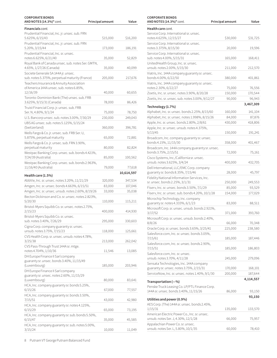| <b>CORPORATE BONDS</b><br>AND NOTES (14.3%)* cont.                                                      | <b>Principal amount</b> | Value                |
|---------------------------------------------------------------------------------------------------------|-------------------------|----------------------|
| Financials cont.                                                                                        |                         |                      |
| Prudential Financial, Inc. jr. unsec. sub. FRN                                                          |                         |                      |
| 5.625%, 6/15/43                                                                                         | \$15,000                | \$16,200             |
| Prudential Financial, Inc. jr. unsec. sub. FRN<br>5.20%, 3/15/44                                        | 173,000                 | 186,191              |
| Prudential Financial, Inc. sr. unsec.<br>notes 6.625%, 6/21/40                                          | 35,000                  | 52,829               |
| Royal Bank of Canada unsec. sub. notes Ser. GMTN,<br>4.65%, 1/27/26 (Canada)                            | 35,000                  | 40,099               |
| Societe Generale SA 144A jr. unsec.                                                                     |                         |                      |
| sub. notes 5.375%, perpetual maturity (France)<br>Teachers Insurance & Annuity Association              | 205,000                 | 217,676              |
| of America 144A unsec. sub. notes 6.85%,<br>12/16/39                                                    | 40,000                  | 60,655               |
| Toronto-Dominion Bank (The) unsec. sub. FRB<br>3.625%, 9/15/31 (Canada)                                 | 78,000                  | 86,426               |
| Truist Financial Corp. jr. unsec. sub. FRB<br>Ser. N, 4.80%, 9/1/24                                     | 75,000                  | 78,750               |
|                                                                                                         |                         |                      |
| U.S. Bancorp unsec. sub. notes 3.00%, 7/30/29<br>UBS AG unsec. sub. notes 5.125%, 5/15/24               | 230,000                 | 249,043              |
| (Switzerland)                                                                                           | 360,000                 | 396,781              |
| Wells Fargo & Co. jr. unsec. sub. FRB Ser. U,<br>5.875%, perpetual maturity                             | 65,000                  | 72,881               |
| Wells Fargo & Co. jr. unsec. sub. FRN 3.90%,<br>perpetual maturity                                      | 80,000                  | 82,824               |
| Westpac Banking Corp. unsec. sub. bonds 4.421%,<br>7/24/39 (Australia)                                  |                         |                      |
| Westpac Banking Corp. unsec. sub. bonds 2.963%,                                                         | 85,000                  | 100,562              |
| 11/16/40 (Australia)                                                                                    | 79,000                  | 77,618<br>10,614,597 |
| Health care (1.5%)                                                                                      |                         |                      |
| AbbVie, Inc. sr. unsec. notes 3.20%, 11/21/29                                                           | 320,000                 | 347,534              |
| Amgen, Inc. sr. unsec. bonds 4.663%, 6/15/51                                                            | 83,000                  | 107,046              |
| Amgen, Inc. sr. unsec. unsub. notes 2.60%, 8/19/26<br>Becton Dickinson and Co. sr. unsec. notes 2.823%, | 33,000                  | 35,038               |
| 5/20/30<br>Bristol-Myers Squibb Co. sr. unsec. notes 2.75%,                                             | 110,000                 | 115,211              |
| 2/15/23                                                                                                 | 400,000                 | 414,930              |
| Bristol-Myers Squibb Co. sr. unsec.<br>sub. notes 3.40%, 7/26/29                                        | 295,000                 | 330,603              |
| Cigna Corp. company guaranty sr. unsec.<br>unsub. notes 3.75%, 7/15/23                                  | 118,000                 | 125,661              |
| CVS Health Corp. sr. unsec. unsub. notes 4.78%,<br>3/25/38                                              |                         |                      |
| CVS Pass-Through Trust 144A sr. mtge.                                                                   | 213,000                 | 262,042              |
| notes 4.704%, 1/10/36<br>DH Europe Finance II Sarl company                                              | 11,546                  | 13,085               |
| guaranty sr. unsec. bonds 3.40%, 11/15/49<br>(Luxembourg)                                               | 185,000                 | 203,946              |
| DH Europe Finance II Sarl company<br>guaranty sr. unsec. notes 2.60%, 11/15/29                          |                         |                      |
| (Luxembourg)<br>HCA, Inc. company guaranty sr. bonds 5.25%,                                             | 80,000                  | 83,641               |
| 6/15/26<br>HCA, Inc. company guaranty sr. bonds 3.50%,                                                  | 67,000                  | 77,557               |
| 7/15/51                                                                                                 | 43,000                  | 42,980               |
| HCA, Inc. company guaranty sr. notes 4.125%,<br>6/15/29                                                 | 65,000                  | 73,195               |
| HCA, Inc. company guaranty sr. sub. bonds 5.50%,<br>6/15/47                                             | 35,000                  | 45,585               |
| HCA, Inc. company guaranty sr. sub. notes 5.00%,<br>3/15/24                                             | 10,000                  | 11,049               |

| <b>CORPORATE BONDS</b><br>AND NOTES (14.3%)* cont.                                     | <b>Principal amount</b> | Value                |
|----------------------------------------------------------------------------------------|-------------------------|----------------------|
| Health care cont.                                                                      |                         |                      |
| Service Corp. International sr. unsec.                                                 |                         |                      |
| notes 4.625%, 12/15/27                                                                 | \$30,000                | \$31,725             |
| Service Corp. International sr. unsec.                                                 |                         |                      |
| notes 3.375%, 8/15/30                                                                  | 20,000                  | 19,596               |
| Service Corp. International sr. unsec.<br>sub. notes 4.00%, 5/15/31                    | 165,000                 | 168,411              |
| UnitedHealth Group, Inc. sr. unsec.                                                    |                         |                      |
| unsub. notes 2.00%, 5/15/30                                                            | 211,000                 | 212,570              |
| Viatris, Inc. 144A company guaranty sr. unsec.<br>bonds 4.00%, 6/22/50                 | 380,000                 | 401,861              |
| Viatris, Inc. 144A company guaranty sr. unsec.                                         |                         |                      |
| notes 2.30%, 6/22/27                                                                   | 75,000                  | 76,556               |
| Zoetis, Inc. sr. unsec. notes 3.90%, 8/20/28                                           | 150,000                 | 170,544              |
| Zoetis, Inc. sr. unsec. sub. notes 3.00%, 9/12/27                                      | 90,000                  | 96,943               |
| Technology (1.7%)                                                                      |                         | 3,467,309            |
| Alphabet, Inc. sr. unsec. bonds 2.25%, 8/15/60                                         | 160,000                 | 141,104              |
| Alphabet, Inc. sr. unsec. notes 1.998%, 8/15/26                                        | 84,000                  | 87,876               |
| Apple, Inc. sr. unsec. bonds 2.80%, 2/8/61                                             | 430,000                 | 418,806              |
| Apple, Inc. sr. unsec. unsub. notes 4.375%,                                            |                         |                      |
| 5/13/45                                                                                | 150,000                 | 191,241              |
| Broadcom, Inc. company guaranty sr. unsec.                                             |                         |                      |
| bonds 4.15%, 11/15/30                                                                  | 358,000                 | 401,467              |
| Broadcom, Inc. 144A company guaranty sr. unsec.<br>bonds 3.75%, 2/15/51                | 72,000                  | 75,161               |
| Cisco Systems, Inc./California sr. unsec.                                              |                         |                      |
| unsub. notes 3.625%, 3/4/24                                                            | 400,000                 | 432,705              |
| Dell International, LLC/EMC Corp. company                                              |                         |                      |
| guaranty sr. bonds 8.35%, 7/15/46                                                      | 28,000                  | 45,797               |
| Fidelity National Information Services, Inc.                                           |                         |                      |
| sr. unsec. bonds 2.25%, 3/1/31<br>Fiserv, Inc. sr. unsec. bonds 3.50%, 7/1/29          | 250,000                 | 249,553<br>93,529    |
| Fiserv, Inc. sr. unsec. sub. bonds 4.20%, 10/1/28                                      | 85,000<br>154,000       | 177,029              |
| Microchip Technology, Inc. company                                                     |                         |                      |
| guaranty sr. notes 4.333%, 6/1/23                                                      | 83,000                  | 88,511               |
| Microsoft Corp. sr. unsec. unsub. bonds 2.921%,                                        |                         |                      |
| 3/17/52                                                                                | 371,000                 | 393,760              |
| Microsoft Corp. sr. unsec. unsub. bonds 2.40%,                                         |                         |                      |
| 8/8/26                                                                                 | 66,000                  | 70,348               |
| Oracle Corp. sr. unsec. bonds 3.65%, 3/25/41                                           | 225,000                 | 238,580              |
| Salesforce.com, Inc. sr. unsec. bonds 3.05%,<br>7/15/61                                | 185,000                 | 187,446              |
| Salesforce.com, Inc. sr. unsec. bonds 2.90%,                                           |                         |                      |
| 7/15/51                                                                                | 185,000                 | 186,803              |
| Salesforce.com, Inc. sr. unsec.                                                        |                         |                      |
| unsub. notes 3.70%, 4/11/28                                                            | 245,000                 | 279,096              |
| Sensata Technologies, Inc. 144A company                                                |                         |                      |
| guaranty sr. unsec. notes 3.75%, 2/15/31                                               | 170,000<br>200,000      | 168,101              |
| ServiceNow, Inc. sr. unsec. notes 1.40%, 9/1/30                                        |                         | 187,644<br>4,114,557 |
| Transportation (-%)                                                                    |                         |                      |
| Penske Truck Leasing Co. LP/PTL Finance Corp.<br>144A sr. unsec. bonds 3.40%, 11/15/26 |                         |                      |
|                                                                                        | 86,000                  | 93,150<br>93,150     |
| Utilities and power (0.9%)                                                             |                         |                      |
| AES Corp. (The) 144A sr. unsec. bonds 2.45%,                                           |                         |                      |
| 1/15/31<br>American Electric Power Co., Inc. sr. unsec.                                | 135,000                 | 133,570              |
| unsub. notes Ser. J, 4.30%, 12/1/28                                                    | 66,000                  | 75,957               |
| Appalachian Power Co. sr. unsec.                                                       |                         |                      |
| unsub. notes Ser. L, 5.80%, 10/1/35                                                    | 60,000                  | 78,410               |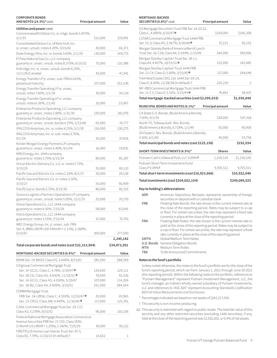| <b>CORPORATE BONDS</b><br>AND NOTES (14.3%)* cont.                                                 | <b>Principal amount</b> | Value             |
|----------------------------------------------------------------------------------------------------|-------------------------|-------------------|
| Utilities and power cont.                                                                          |                         |                   |
| Commonwealth Edison Co. sr. mtge. bonds 5.875%,                                                    |                         |                   |
| 2/1/33                                                                                             | \$15,000                | \$19,991          |
| Consolidated Edison Co. of New York, Inc.                                                          |                         |                   |
| sr. unsec. unsub. notes 4.20%, 3/15/42                                                             | 40,000                  | 46,371            |
| Duke Energy Ohio, Inc. sr. bonds 3.65%, 2/1/29<br>El Paso Natural Gas Co., LLC company             | 130,000                 | 144,770           |
| guaranty sr. unsec. unsub. notes 8.375%, 6/15/32                                                   | 75,000                  | 110,386           |
| Enbridge, Inc. sr. unsec. unsub. bonds 4.25%,                                                      |                         |                   |
| 12/1/26 (Canada)                                                                                   | 42,000                  | 47,341            |
| Energy Transfer LP jr. unsec. sub. FRN 6.625%,                                                     |                         |                   |
| perpetual maturity                                                                                 | 257,000                 | 251,539           |
| Energy Transfer Operating LP sr. unsec.<br>unsub. notes 7.60%, 2/1/24                              | 30,000                  | 34,110            |
| Energy Transfer Operating LP sr. unsec.                                                            |                         |                   |
| unsub.notes 6.50%, 2/1/42                                                                          | 20,000                  | 25,967            |
| Enterprise Products Operating, LLC company                                                         |                         |                   |
| guaranty sr. unsec. notes 2.80%, 1/31/30                                                           | 230,000                 | 242,976           |
| Enterprise Products Operating, LLC company                                                         |                         |                   |
| guaranty sr. unsec. unsub. bonds 4.25%, 2/15/48                                                    | 65,000                  | 74,777            |
| IPALCO Enterprises, Inc. sr. notes 4.25%, 5/1/30<br>IPALCO Enterprises, Inc. sr. sub. notes 3.70%, | 116,000                 | 130,275           |
| 9/1/24                                                                                             | 35,000                  | 37,656            |
| Kinder Morgan Energy Partners LP company                                                           |                         |                   |
| guaranty sr. unsec. notes 5.40%, 9/1/44                                                            | 16,000                  | 19,831            |
| NRG Energy, Inc. 144A company                                                                      |                         |                   |
| guaranty sr. notes 3.75%, 6/15/24                                                                  | 80,000                  | 85,187            |
| Oncor Electric Delivery Co., LLC sr. notes 5.75%,<br>3/15/29                                       | 55,000                  | 69,110            |
| Pacific Gas and Electric Co. notes 2.10%, 8/1/27                                                   | 30,000                  | 29,136            |
| Pacific Gas and Electric Co. sr. notes 3.30%,                                                      |                         |                   |
| 3/15/27                                                                                            | 55,000                  | 56,909            |
| PacifiCorp sr. bonds 2.70%, 9/15/30                                                                | 86,000                  | 90,319            |
| Sunoco Logistics Partners Operations LP company                                                    |                         |                   |
| guaranty sr. unsec. unsub. notes 5.95%, 12/1/25                                                    | 25,000                  | 29,270            |
| Vistra Operations Co., LLC 144A company<br>guaranty sr. notes 4.30%, 7/15/29                       | 58,000                  | 63,041            |
| Vistra Operations Co., LLC 144A company                                                            |                         |                   |
| guaranty sr. notes 3.55%, 7/15/24                                                                  | 67,000                  | 70,743            |
| WEC Energy Group, Inc. jr. unsec. sub. FRN                                                         |                         |                   |
| Ser. A, (BBA LIBOR USD 3 Month + 2.11%), 2.268%,                                                   |                         |                   |
| 5/15/67                                                                                            | 300,000                 | 277,500           |
|                                                                                                    |                         | 2,245,142         |
| Total corporate bonds and notes (cost \$32,313,904)                                                |                         | \$34,473,951      |
| MORTGAGE-BACKED SECURITIES (0.8%)*                                                                 | <b>Principal amount</b> | Value             |
| BANK Ser. 19-BN19, Class AS, 3.446%, 8/15/61                                                       | \$81,000                | \$88,569          |
| Citigroup Commercial Mortgage Trust                                                                |                         |                   |
| Ser. 14-GC21, Class C, 4.78%, 5/10/47 W                                                            | 124,000                 | 129,111           |
| Ser. 18-C6, Class AS, 4.642%, 11/10/51 W                                                           | 78,000                  | 91,526            |
| Ser. 14-GC21, Class AS, 4.026%, 5/10/47                                                            | 107,000                 | 114,206           |
| Ser. 18-B2, Class A4, 4.009%, 3/10/51                                                              | 251,000                 | 284,564           |
| COMM Mortgage Trust                                                                                |                         |                   |
| FRB Ser. 14-UBS6, Class C, 4.593%, 12/10/47 W<br>Ser. 13-CR13, Class AM, 4.449%, 11/10/46 W        | 20,000<br>117,000       | 20,965<br>125,761 |
| CSAIL Commercial Mortgage Trust Ser. 19-C17,                                                       |                         |                   |
| Class AS, 3.278%, 9/15/52                                                                          | 96,000                  | 103,106           |
| Federal National Mortgage Association Connecticut                                                  |                         |                   |
| Avenue Securities FRB Ser. 17-C01, Class 1EB1,                                                     |                         |                   |
| (1 Month US LIBOR + 1.25%), 1.342%, 7/25/29                                                        | 30,000                  | 30,122            |
| FIRSTPLUS Home Loan Owner Trust Ser. 97-3,<br>Class B1, 7.79%, 11/10/23 (In default) †             | 14,822                  | ı                 |

| MORTGAGE-BACKED<br>SECURITIES (0.8%)* cont.                                                  | Principal amount | Value        |
|----------------------------------------------------------------------------------------------|------------------|--------------|
| GS Mortgage Securities Trust FRB Ser. 14-GC22,                                               |                  |              |
| Class C, 4.846%, 6/10/47 W                                                                   | \$159,000        | \$166,208    |
| LSTAR Commercial Mortgage Trust 144A FRB<br>Ser. 15-3, Class AS, 3.367%, 4/20/48 W           | 37,221           | 36,153       |
| Morgan Stanley Bank of America Merrill Lynch<br>Trust Ser. 16-C28, Class A4, 3.544%, 1/15/49 | 340,000          | 369,996      |
| Morgan Stanley Capital I Trust Ser. 18-L1,<br>Class A4, 4.407%, 10/15/51 W                   | 125,000          | 145,485      |
| Morgan Stanley Capital I Trust 144A FRB<br>Ser. 12-C4, Class D, 5.60%, 3/15/45W              | 217,000          | 194,648      |
| TIAA Real Estate CDO, Ltd. 144A Ser. 03-1A,<br>Class E, 8.00%, 12/28/38 (In default) †       | 220,229          | 2            |
| WF-RBS Commercial Mortgage Trust 144A FRB<br>Ser. 11-C3, Class D, 5.52%, 3/15/44 W           | 76,851           | 38,425       |
| Total mortgage-backed securities (cost \$2,095,033)                                          |                  | \$1,938,848  |
| MUNICIPAL BONDS AND NOTES (0.1%)*                                                            | Principal amount | Value        |
| CA State G.O. Bonds, (Build America Bonds),<br>7.50%, 4/1/34                                 |                  |              |
|                                                                                              | \$30,000         | \$47,318     |
| North TX, Tollway Auth. Rev. Bonds,<br>(Build America Bonds), 6.718%, 1/1/49                 | 55,000           | 90,958       |
| OH State U. Rev. Bonds, (Build America Bonds),                                               |                  |              |
| 4.91%, 6/1/40                                                                                | 40,000           | 53,758       |
| Total municipal bonds and notes (cost \$125,158)                                             |                  | \$192,034    |
| SHORT-TERM INVESTMENTS (4.5%)*                                                               | <b>Shares</b>    | Value        |
| Putnam Cash Collateral Pool, LLC 0.09% d                                                     | 1,216,535        | \$1,216,535  |
| Putnam Short Term Investment Fund                                                            |                  |              |
| Class $P$ 0.09% $L$                                                                          | 9,705,511        | 9,705,511    |
| Total short-term investments (cost \$10,923,666)                                             |                  | \$10,922,046 |

#### **Key to holding's abbreviations**

| ADR         | American Depository Receipts: represents ownership of foreign<br>securities on deposit with a custodian bank                                                                                                                                                                          |
|-------------|---------------------------------------------------------------------------------------------------------------------------------------------------------------------------------------------------------------------------------------------------------------------------------------|
| <b>FRB</b>  | Floating Rate Bonds: the rate shown is the current interest rate at<br>the close of the reporting period. Rates may be subject to a cap<br>or floor. For certain securities, the rate may represent a fixed rate<br>currently in place at the close of the reporting period.          |
| FRN         | Floating Rate Notes: the rate shown is the current interest rate or<br>yield at the close of the reporting period. Rates may be subject to<br>a cap or floor. For certain securities, the rate may represent a fixed<br>rate currently in place at the close of the reporting period. |
| <b>GMTN</b> | Global Medium Term Notes                                                                                                                                                                                                                                                              |
|             | G.O. Bonds General Obligation Bonds                                                                                                                                                                                                                                                   |
| MTN         | Medium Term Notes                                                                                                                                                                                                                                                                     |
| <b>TBA</b>  | To Be Announced Commitments                                                                                                                                                                                                                                                           |
|             | Notes to the fund's portfolio                                                                                                                                                                                                                                                         |

Unless noted otherwise, the notes to the fund's portfolio are for the close of the fund's reporting period, which ran from January 1, 2021 through June 30 2021 (the reporting period). Within the following notes to the portfolio, references to "Putnam Management" represent Putnam Investment Management, LLC, the fund's manager, an indirect wholly-owned subsidiary of Putnam Investments, LLC and references to "ASC 820" represent Accounting Standards Codification 820 *Fair Value Measurements and Disclosures*.

- \* Percentages indicated are based on net assets of \$241,217,550.
- † This security is non-income-producing.
- ∆∆ This security is restricted with regard to public resale. The total fair value of this security and any other restricted securities (excluding 144A securities), if any, held at the close of the reporting period was \$1,032,202, or 0.4% of net assets.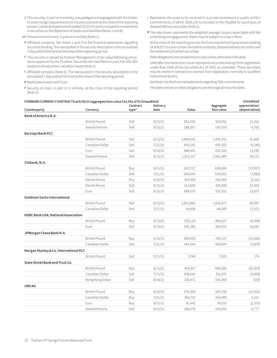- # This security, in part or in entirety, was pledged and segregated with the broker to cover margin requirements for futures contracts at the close of the reporting period. Collateral at period end totaled \$123,676 and is included in Investments in securities on the Statement of assets and liabilities (Notes 1 and 8).
- ## Forward commitment, in part or in entirety (Note 1).
- **<sup>d</sup>** Affiliated company. See Notes 1 and 5 to the financial statements regarding securities lending. The rate quoted in the security description is the annualized 7-day yield of the fund at the close of the reporting period.
- **<sup>F</sup>** This security is valued by Putnam Management at fair value following procedures approved by the Trustees. Securities are classified as Level 3 for ASC 820 based on the securities' valuation inputs (Note 1).
- **<sup>L</sup>** Affiliated company (Note 5). The rate quoted in the security description is the annualized 7-day yield of the fund at the close of the reporting period.
- **<sup>R</sup>** Real Estate Investment Trust.
- **<sup>S</sup>** Security on loan, in part or in entirety, at the close of the reporting period (Note 1).
- **▶ Represents the asset to be received in a private investment in public entity ▶** commitments, of which \$816,130 is included in the Payable for purchases of delayed delivery securities (Note 1).
- **<sup>W</sup>** The rate shown represents the weighted average coupon associated with the underlying mortgage pools. Rates may be subject to a cap or floor.

At the close of the reporting period, the fund maintained liquid assets totaling \$4,439,977 to cover certain derivative contracts, delayed delivery securities and the settlement of certain securities.

Debt obligations are considered secured unless otherwise indicated.

144A after the name of an issuer represents securities exempt from registration under Rule 144A of the Securities Act of 1933, as amended. These securities may be resold in transactions exempt from registration, normally to qualified institutional buyers.

See Note 1 to the financial statements regarding TBA commitments.

The dates shown on debt obligations are the original maturity dates.

| FORWARD CURRENCY CONTRACTS at 6/30/21 (aggregate face value \$14,941,675) (Unaudited)<br>Delivery<br>Contract |                      |       |         |           |                         | Unrealized                      |
|---------------------------------------------------------------------------------------------------------------|----------------------|-------|---------|-----------|-------------------------|---------------------------------|
| Counterparty                                                                                                  | Currency             | type* | date    | Value     | Aggregate<br>face value | appreciation/<br>(depreciation) |
| Bank of America N.A.                                                                                          |                      |       |         |           |                         |                                 |
|                                                                                                               | <b>British Pound</b> | Sell  | 9/15/21 | \$62,536  | \$63,951                | \$1,415                         |
|                                                                                                               | Swedish Krona        | Sell  | 9/15/21 | 188,267   | 195,029                 | 6,762                           |
| <b>Barclays Bank PLC</b>                                                                                      |                      |       |         |           |                         |                                 |
|                                                                                                               | <b>British Pound</b> | Sell  | 9/15/21 | 1,849,642 | 1,891,451               | 41,809                          |
|                                                                                                               | Canadian Dollar      | Sell  | 7/21/21 | 445,542   | 439,302                 | (6, 240)                        |
|                                                                                                               | Euro                 | Sell  | 9/15/21 | 488,441   | 502,226                 | 13,785                          |
|                                                                                                               | Swedish Krona        | Sell  | 9/15/21 | 1,015,317 | 1,051,489               | 36,172                          |
| Citibank, N.A.                                                                                                |                      |       |         |           |                         |                                 |
|                                                                                                               | <b>British Pound</b> | Buy   | 9/15/21 | 622,727   | 636,684                 | (13,957)                        |
|                                                                                                               | Canadian Dollar      | Sell  | 7/21/21 | 546,944   | 539,055                 | (7,889)                         |
|                                                                                                               | Danish Krone         | Buy   | 9/15/21 | 414,399   | 416,560                 | (2,161)                         |
|                                                                                                               | Danish Krone         | Sell  | 9/15/21 | 413,695   | 424,598                 | 10,903                          |
|                                                                                                               | Euro                 | Sell  | 9/15/21 | 488,679   | 502,551                 | 13,872                          |
| Goldman Sachs International                                                                                   |                      |       |         |           |                         |                                 |
|                                                                                                               | <b>British Pound</b> | Sell  | 9/15/21 | 1,815,884 | 1,856,871               | 40,987                          |
|                                                                                                               | Canadian Dollar      | Sell  | 7/21/21 | 34,608    | 48,080                  | 13,472                          |
| HSBC Bank USA, National Association                                                                           |                      |       |         |           |                         |                                 |
|                                                                                                               | <b>British Pound</b> | Buy   | 9/15/21 | 378,119   | 386,627                 | (8,508)                         |
|                                                                                                               | Euro                 | Sell  | 9/15/21 | 356,385   | 366,472                 | 10,087                          |
| JPMorgan Chase Bank N.A.                                                                                      |                      |       |         |           |                         |                                 |
|                                                                                                               | <b>British Pound</b> | Buy   | 9/15/21 | 690,935   | 706,517                 | (15, 582)                       |
|                                                                                                               | Canadian Dollar      | Sell  | 7/21/21 | 414,564   | 408,694                 | (5,870)                         |
| Morgan Stanley & Co. International PLC                                                                        |                      |       |         |           |                         |                                 |
|                                                                                                               | <b>British Pound</b> | Sell  | 9/15/21 | 7,748     | 7,922                   | 174                             |
| State Street Bank and Trust Co.                                                                               |                      |       |         |           |                         |                                 |
|                                                                                                               | <b>British Pound</b> | Buy   | 9/15/21 | 458,917   | 469,280                 | (10, 363)                       |
|                                                                                                               | Canadian Dollar      | Sell  | 7/21/21 | 308,645   | 302,747                 | (5,898)                         |
|                                                                                                               | Hong Kong Dollar     | Sell  | 8/18/21 | 326,471   | 326,368                 | (103)                           |
| <b>UBSAG</b>                                                                                                  |                      |       |         |           |                         |                                 |
|                                                                                                               | <b>British Pound</b> | Buy   | 9/15/21 | 574,304   | 587,256                 | (12, 952)                       |
|                                                                                                               | Canadian Dollar      | Buy   | 7/21/21 | 364,710   | 359,489                 | 5,221                           |
|                                                                                                               | Euro                 | Buy   | 9/15/21 | 91,442    | 94,014                  | (2, 572)                        |
|                                                                                                               | Swedish Krona        | Sell  | 9/15/21 | 188,279   | 195,056                 | 6,777                           |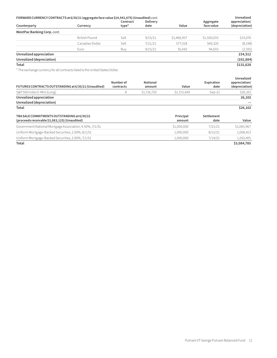| FORWARD CURRENCY CONTRACTS at 6/30/21 (aggregate face value \$14,941,675) (Unaudited) cont. |                 |          |                 |             | Unrealized  |                |
|---------------------------------------------------------------------------------------------|-----------------|----------|-----------------|-------------|-------------|----------------|
|                                                                                             |                 | Contract | <b>Delivery</b> |             | Aggregate   | appreciation/  |
| Counterparty                                                                                | Currency        | type*    | date            | Value       | face value  | (depreciation) |
| WestPac Banking Corp. cont.                                                                 |                 |          |                 |             |             |                |
|                                                                                             | British Pound   | Sell     | 9/15/21         | \$1,466,957 | \$1,500,033 | \$33,076       |
|                                                                                             | Canadian Dollar | Sell     | 7/21/21         | 577,518     | 569,320     | (8,198)        |
|                                                                                             | Euro            | Buy      | 9/15/21         | 91.442      | 94,033      | (2, 591)       |
| Unrealized appreciation                                                                     |                 |          |                 |             |             | 234,512        |
| Unrealized (depreciation)                                                                   |                 |          |                 |             |             | (102, 884)     |
| Total                                                                                       |                 |          |                 |             |             | \$131,628      |

\* The exchange currency for all contracts listed is the United States Dollar.

| FUTURES CONTRACTS OUTSTANDING at 6/30/21 (Unaudited)                                         | <b>Number</b> of<br>contracts | Notional<br>amount | Value               | Expiration<br>date | Unrealized<br>appreciation/<br>(depreciation) |
|----------------------------------------------------------------------------------------------|-------------------------------|--------------------|---------------------|--------------------|-----------------------------------------------|
| S&P 500 Index E-Mini (Long)                                                                  | 8                             | \$1,716,720        | \$1,715,440         | Sep-21             | \$26,102                                      |
| Unrealized appreciation                                                                      |                               |                    |                     |                    | 26,102                                        |
| Unrealized (depreciation)                                                                    |                               |                    |                     |                    |                                               |
| Total                                                                                        |                               |                    |                     |                    | \$26,102                                      |
| TBA SALE COMMITMENTS OUTSTANDING at 6/30/21<br>(proceeds receivable \$3,083,125) (Unaudited) |                               |                    | Principal<br>amount | Settlement<br>date | Value                                         |
| Government National Mortgage Association, 4.50%, 7/1/51                                      |                               |                    | \$1,000,000         | 7/21/21            | \$1,065,967                                   |
| Uniform Mortgage-Backed Securities, 2.00%, 8/1/51                                            |                               |                    | 1,000,000           | 8/12/21            | 1,008,413                                     |
| Uniform Mortgage-Backed Securities, 2.00%, 7/1/51                                            |                               |                    | 1,000,000           | 7/14/21            | 1,010,405                                     |
| Total                                                                                        |                               |                    |                     |                    | \$3,084,785                                   |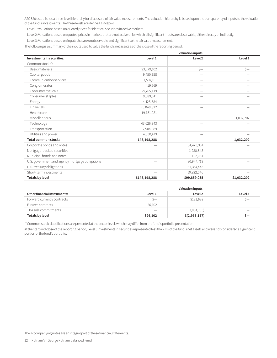ASC 820 establishes a three-level hierarchy for disclosure of fair value measurements. The valuation hierarchy is based upon the transparency of inputs to the valuation of the fund's investments. The three levels are defined as follows:

Level 1: Valuations based on quoted prices for identical securities in active markets.

Level 2: Valuations based on quoted prices in markets that are not active or for which all significant inputs are observable, either directly or indirectly.

Level 3: Valuations based on inputs that are unobservable and significant to the fair value measurement.

The following is a summary of the inputs used to value the fund's net assets as of the close of the reporting period:

|                                                 | <b>Valuation inputs</b>  |                          |             |  |
|-------------------------------------------------|--------------------------|--------------------------|-------------|--|
| Investments in securities:                      | Level 1                  | Level 2                  | Level 3     |  |
| Common stocks*:                                 |                          |                          |             |  |
| <b>Basic materials</b>                          | \$3,279,102              | $\zeta-$                 | $\zeta-$    |  |
| Capital goods                                   | 9,450,958                | $\qquad \qquad$          |             |  |
| Communication services                          | 1,507,101                | $\qquad \qquad$          |             |  |
| Conglomerates                                   | 419,669                  | $\qquad \qquad$          |             |  |
| Consumer cyclicals                              | 29,765,119               |                          |             |  |
| Consumer staples                                | 9,089,641                | $\overline{\phantom{0}}$ |             |  |
| Energy                                          | 4,425,584                | $\overline{\phantom{0}}$ |             |  |
| Financials                                      | 20,048,322               | $\qquad \qquad$          |             |  |
| Health care                                     | 19,151,081               | $\overline{\phantom{0}}$ |             |  |
| Miscellaneous                                   | $\overline{\phantom{0}}$ | $\qquad \qquad$          | 1,032,202   |  |
| Technology                                      | 43,626,343               | $\overline{\phantom{0}}$ |             |  |
| Transportation                                  | 2,904,889                | $\qquad \qquad$          |             |  |
| Utilities and power                             | 4,530,479                |                          |             |  |
| <b>Total common stocks</b>                      | 148,198,288              |                          | 1,032,202   |  |
| Corporate bonds and notes                       |                          | 34,473,951               |             |  |
| Mortgage-backed securities                      |                          | 1,938,848                |             |  |
| Municipal bonds and notes                       | $\qquad \qquad$          | 192,034                  |             |  |
| U.S. government and agency mortgage obligations | $\overline{\phantom{m}}$ | 20,944,713               |             |  |
| U.S. treasury obligations                       | $\overline{\phantom{m}}$ | 31,387,443               |             |  |
| Short-term investments                          |                          | 10,922,046               |             |  |
| Totals by level                                 | \$148,198,288            | \$99,859,035             | \$1,032,202 |  |

|                              | Valuation inputs         |               |                          |  |  |
|------------------------------|--------------------------|---------------|--------------------------|--|--|
| Other financial instruments: | Level 1                  | Level 2       | Level 3                  |  |  |
| Forward currency contracts   | $\sim$                   | \$131,628     |                          |  |  |
| Futures contracts            | 26,102                   |               |                          |  |  |
| TBA sale commitments         | $\overline{\phantom{m}}$ | (3,084,785)   | $\overline{\phantom{a}}$ |  |  |
| Totals by level              | \$26,102                 | \$(2,953,157) |                          |  |  |

\* Common stock classifications are presented at the sector level, which may differ from the fund's portfolio presentation.

At the start and close of the reporting period, Level 3 investments in securities represented less than 1% of the fund's net assets and were not considered a significant portion of the fund's portfolio.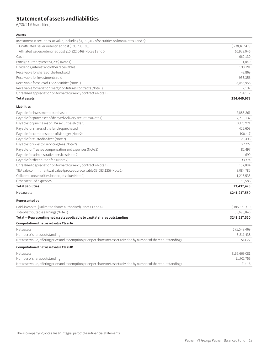# **Statement of assets and liabilities**

6/30/21 (Unaudited)

#### **Assets**

| Investment in securities, at value, including \$1,180,312 of securities on loan (Notes 1 and 8): |               |
|--------------------------------------------------------------------------------------------------|---------------|
| Unaffiliated issuers (identified cost \$193,730,108)                                             | \$238,167,479 |
| Affiliated issuers (identified cost \$10,922,046) (Notes 1 and 5)                                | 10,922,046    |
| Cash                                                                                             | 660,130       |
| Foreign currency (cost \$1,298) (Note 1)                                                         | 1,840         |
| Dividends, interest and other receivables                                                        | 598,191       |
| Receivable for shares of the fund sold                                                           | 42,869        |
| Receivable for investments sold                                                                  | 933,356       |
| Receivable for sales of TBA securities (Note 1)                                                  | 3,086,958     |
| Receivable for variation margin on futures contracts (Note 1)                                    | 2,592         |
| Unrealized appreciation on forward currency contracts (Note 1)                                   | 234,512       |
| <b>Total assets</b>                                                                              | 254,649,973   |

#### **Liabilities**

| Payable for investments purchased                                         | 2,885,361  |
|---------------------------------------------------------------------------|------------|
| Payable for purchases of delayed delivery securities (Note 1)             | 2,218,132  |
| Payable for purchases of TBA securities (Note 1)                          | 3,176,921  |
| Payable for shares of the fund repurchased                                | 422,608    |
| Payable for compensation of Manager (Note 2)                              | 100,417    |
| Payable for custodian fees (Note 2)                                       | 20,495     |
| Payable for investor servicing fees (Note 2)                              | 27,727     |
| Payable for Trustee compensation and expenses (Note 2)                    | 82,497     |
| Payable for administrative services (Note 2)                              | 699        |
| Payable for distribution fees (Note 2)                                    | 33,774     |
| Unrealized depreciation on forward currency contracts (Note 1)            | 102,884    |
| TBA sale commitments, at value (proceeds receivable \$3,083,125) (Note 1) | 3,084,785  |
| Collateral on securities loaned, at value (Note 1)                        | 1,216,535  |
| Other accrued expenses                                                    | 59,588     |
| <b>Total liabilities</b>                                                  | 13,432,423 |

#### **Net assets \$241,217,550**

| Paid-in capital (Unlimited shares authorized) (Notes 1 and 4)                                                       | \$185,521,710 |
|---------------------------------------------------------------------------------------------------------------------|---------------|
| Total distributable earnings (Note 1)                                                                               | 55,695,840    |
| Total - Representing net assets applicable to capital shares outstanding                                            | \$241,217,550 |
| Computation of net asset value Class IA                                                                             |               |
| Net assets                                                                                                          | \$75,548,469  |
| Number of shares outstanding                                                                                        | 5,311,438     |
| Net asset value, offering price and redemption price per share (net assets divided by number of shares outstanding) | \$14.22       |
| Computation of net asset value Class IB                                                                             |               |
| Net assets                                                                                                          | \$165,669,081 |
| Number of shares outstanding                                                                                        | 11,701,756    |
| Net asset value, offering price and redemption price per share (net assets divided by number of shares outstanding) | \$14.16       |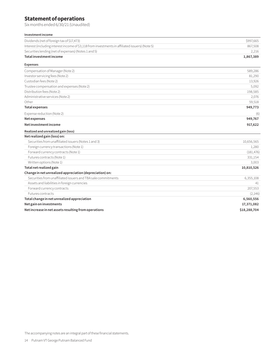# **Statement of operations**

Six months ended 6/30/21 (Unaudited)

| Investment income                                                                               |            |
|-------------------------------------------------------------------------------------------------|------------|
| Dividends (net of foreign tax of \$17,473)                                                      | \$997,665  |
| Interest (including interest income of \$3,118 from investments in affiliated issuers) (Note 5) | 867,508    |
| Securities lending (net of expenses) (Notes 1 and 5)                                            | 2,216      |
| Total investment income                                                                         | 1,867,389  |
| <b>Expenses</b>                                                                                 |            |
| Compensation of Manager (Note 2)                                                                | 589,286    |
| Investor servicing fees (Note 2)                                                                | 81,290     |
| Custodian fees (Note 2)                                                                         | 13,926     |
| Trustee compensation and expenses (Note 2)                                                      | 5,092      |
| Distribution fees (Note 2)                                                                      | 198,585    |
| Administrative services (Note 2)                                                                | 2,076      |
| Other                                                                                           | 59,518     |
| <b>Total expenses</b>                                                                           | 949,773    |
| Expense reduction (Note 2)                                                                      | (6)        |
| Net expenses                                                                                    | 949,767    |
| Net investment income                                                                           | 917,622    |
| Realized and unrealized gain (loss)                                                             |            |
| Net realized gain (loss) on:                                                                    |            |
| Securities from unaffiliated issuers (Notes 1 and 3)                                            | 10,656,565 |
| Foreign currency transactions (Note 1)                                                          | 1,280      |
| Forward currency contracts (Note 1)                                                             | (181, 476) |
| Futures contracts (Note 1)                                                                      | 331,154    |
| Written options (Note 1)                                                                        | 3,003      |
| Total net realized gain                                                                         | 10,810,526 |
| Change in net unrealized appreciation (depreciation) on:                                        |            |
| Securities from unaffiliated issuers and TBA sale commitments                                   | 6,355,108  |
| Assets and liabilities in foreign currencies                                                    | 41         |
| Forward currency contracts                                                                      | 207,553    |
| <b>Futures contracts</b>                                                                        | (2,146)    |
| Total change in net unrealized appreciation                                                     | 6,560,556  |

**Net gain on investments 17,371,082** 

**Net increase in net assets resulting from operations \$18,288,704**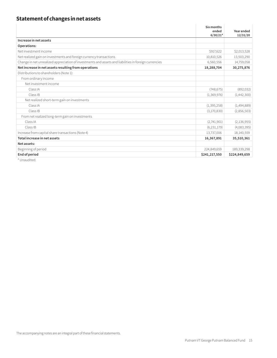# **Statement of changes in net assets**

|                                                                                                       | Six months<br>ended<br>$6/30/21*$ | Year ended<br>12/31/20 |
|-------------------------------------------------------------------------------------------------------|-----------------------------------|------------------------|
| Increase in net assets                                                                                |                                   |                        |
| Operations:                                                                                           |                                   |                        |
| Net investment income                                                                                 | \$917,622                         | \$2,013,528            |
| Net realized gain on investments and foreign currency transactions                                    | 10,810,526                        | 13,503,290             |
| Change in net unrealized appreciation of investments and assets and liabilities in foreign currencies | 6,560,556                         | 14,759,058             |
| Net increase in net assets resulting from operations                                                  | 18,288,704                        | 30,275,876             |
| Distributions to shareholders (Note 1):                                                               |                                   |                        |
| From ordinary income                                                                                  |                                   |                        |
| Net investment income                                                                                 |                                   |                        |
| Class IA                                                                                              | (748, 675)                        | (892, 032)             |
| Class IB                                                                                              | (1,369,976)                       | (1,442,300)            |
| Net realized short-term gain on investments                                                           |                                   |                        |
| Class IA                                                                                              | (1, 395, 258)                     | (1,494,889)            |
| Class IB                                                                                              | (3,170,830)                       | (2,856,503)            |
| From net realized long-term gain on investments                                                       |                                   |                        |
| Class IA                                                                                              | (2,741,901)                       | (2, 136, 955)          |
| Class IB                                                                                              | (6, 231, 179)                     | (4,083,395)            |
| Increase from capital share transactions (Note 4)                                                     | 13,737,006                        | 18,140,559             |
| Total increase in net assets                                                                          | 16,367,891                        | 35,510,361             |
| Net assets:                                                                                           |                                   |                        |
| Beginning of period                                                                                   | 224,849,659                       | 189,339,298            |
| End of period                                                                                         | \$241,217,550                     | \$224,849,659          |

\* Unaudited.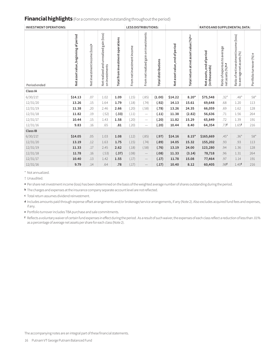# **Financial highlights** (For a common share outstanding throughout the period)

| <b>INVESTMENT OPERATIONS:</b> |                                      |                                           |                                                                         | <b>LESS DISTRIBUTIONS:</b>       |                            | RATIOS AND SUPPLEMENTAL DATA:         |                            |                               |                                        |                                            |                                                  |                                                                    |                         |
|-------------------------------|--------------------------------------|-------------------------------------------|-------------------------------------------------------------------------|----------------------------------|----------------------------|---------------------------------------|----------------------------|-------------------------------|----------------------------------------|--------------------------------------------|--------------------------------------------------|--------------------------------------------------------------------|-------------------------|
| Period ended                  | Net asset value, beginning of period | Net investment income (loss) <sup>a</sup> | gain (loss)<br>unrealized<br>and<br>Netrealized and u<br>on investments | Total from investment operations | From net investment income | From net realized gain on investments | <b>Total distributions</b> | Netasset value, end of period | Total return at net asset value (%)b,c | Netassets, end of period<br>(in thousands) | Ratio of expenses to average<br>netassets (%)b,d | Ratio of net investment income (loss)<br>to average net assets (%) | Portfolioturnover (%) e |
| Class IA                      |                                      |                                           |                                                                         |                                  |                            |                                       |                            |                               |                                        |                                            |                                                  |                                                                    |                         |
| 6/30/21                       | \$14.13                              | .07                                       | 1.02                                                                    | 1.09                             | (.15)                      | (.85)                                 | (1.00)                     | \$14.22                       | $8.20*$                                | \$75,548                                   | $.32*$                                           | $.48*$                                                             | $58*$                   |
| 12/31/20                      | 13.26                                | .15                                       | 1.64                                                                    | 1.79                             | (.18)                      | (.74)                                 | (.92)                      | 14.13                         | 15.61                                  | 69,648                                     | .68                                              | 1.20                                                               | 113                     |
| 12/31/19                      | 11.38                                | .20                                       | 2.46                                                                    | 2.66                             | (.20)                      | (.58)                                 | (.78)                      | 13.26                         | 24.35                                  | 66,059                                     | .69                                              | 1.62                                                               | 128                     |
| 12/31/18                      | 11.82                                | .19                                       | (.52)                                                                   | (.33)                            | (.11)                      | $\overline{\phantom{m}}$              | (.11)                      | 11.38                         | (2.82)                                 | 56,636                                     | .71                                              | 1.56                                                               | 264                     |
| 12/31/17                      | 10.44                                | .15                                       | 1.43                                                                    | 1.58                             | (.20)                      | $\overline{\phantom{m}}$              | (.20)                      | 11.82                         | 15.29                                  | 65,849                                     | .72                                              | 1.39                                                               | 191                     |
| 12/31/16                      | 9.83                                 | .16                                       | .65                                                                     | .81                              | (.20)                      | $\overline{\phantom{m}}$              | (.20)                      | 10.44                         | 8.40                                   | 64,354                                     | .73f                                             | 1.65f                                                              | 216                     |
| Class IB                      |                                      |                                           |                                                                         |                                  |                            |                                       |                            |                               |                                        |                                            |                                                  |                                                                    |                         |
| 6/30/21                       | \$14.05                              | .05                                       | 1.03                                                                    | 1.08                             | (.12)                      | (.85)                                 | (.97)                      | \$14.16                       | $8.15*$                                | \$165,669                                  | $.45*$                                           | $.36*$                                                             | $58*$                   |
| 12/31/20                      | 13.19                                | .12                                       | 1.63                                                                    | 1.75                             | (.15)                      | (.74)                                 | (.89)                      | 14.05                         | 15.32                                  | 155,202                                    | .93                                              | .93                                                                | 113                     |
| 12/31/19                      | 11.33                                | .17                                       | 2.45                                                                    | 2.62                             | (.18)                      | (.58)                                 | (.76)                      | 13.19                         | 24.00                                  | 123,280                                    | .94                                              | 1.36                                                               | 128                     |
| 12/31/18                      | 11.78                                | .16                                       | (.53)                                                                   | (.37)                            | (.08)                      | $\overline{\phantom{m}}$              | (.08)                      | 11.33                         | (3.14)                                 | 78,718                                     | .96                                              | 1.31                                                               | 264                     |
| 12/31/17                      | 10.40                                | .13                                       | 1.42                                                                    | 1.55                             | (.17)                      | $\overline{\phantom{0}}$              | (.17)                      | 11.78                         | 15.08                                  | 77,464                                     | .97                                              | 1.14                                                               | 191                     |
| 12/31/16                      | 9.79                                 | .14                                       | .64                                                                     | .78                              | (.17)                      | $\overline{\phantom{m}}$              | (.17)                      | 10.40                         | 8.12                                   | 60,405                                     | .98f                                             | 1.40f                                                              | 216                     |

\* Not annualized.

† Unaudited.

**<sup>a</sup>** Per share net investment income (loss) has been determined on the basis of the weighted average number of shares outstanding during the period.

**<sup>b</sup>** The charges and expenses at the insurance company separate account level are not reflected.

**<sup>c</sup>** Total return assumes dividend reinvestment.

**<sup>d</sup>** Includes amounts paid through expense offset arrangements and/or brokerage/service arrangements, if any (Note 2). Also excludes acquired fund fees and expenses, if any.

**<sup>e</sup>** Portfolio turnover includes TBA purchase and sale commitments.

**<sup>f</sup>** Reflects a voluntary waiver of certain fund expenses in effect during the period . As a result of such waiver, the expenses of each class reflect a reduction of less than .01% as a percentage of average net assets per share for each class (Note 2).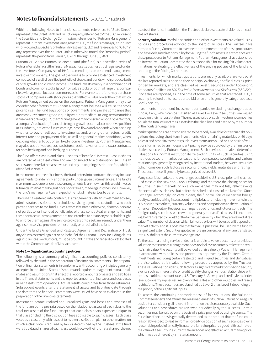# **Notes to financial statements** 6/30/21 (Unaudited)

Within the following Notes to financial statements, references to "State Street" represent State Street Bank and Trust Company, references to "the SEC" represent the Securities and Exchange Commission, references to "Putnam Management" represent Putnam Investment Management, LLC, the fund's manager, an indirect wholly-owned subsidiary of Putnam Investments, LLC and references to "OTC", if any, represent over-the-counter. Unless otherwise noted, the "reporting period" represents the period from January 1, 2021 through June 30, 2021.

Putnam VT George Putnam Balanced Fund (the fund) is a diversified series of Putnam Variable Trust (the Trust), a Massachusetts business trust registered under the Investment Company Act of 1940, as amended, as an open-end management investment company. The goal of the fund is to provide a balanced investment composed of a well-diversified portfolio of stocks and bonds which produce both capital growth and current income. The fund invests mainly in a combination of bonds and common stocks (growth or value stocks or both) of large U.S. companies, with a greater focus on common stocks. For example, the fund may purchase stocks of companies with stock prices that reflect a value lower than that which Putnam Management places on the company. Putnam Management may also consider other factors that Putnam Management believes will cause the stock price to rise. The fund buys bonds of governments and private companies that are mostly investment-grade in quality with intermediate- to long-term maturities (three years or longer). Putnam Management may consider, among other factors, a company's valuation, financial strength, growth potential, competitive position in its industry, projected future earnings, cash flows and dividends when deciding whether to buy or sell equity investments, and, among other factors, credit, interest rate and prepayment risks, as well as general market conditions, when deciding whether to buy or sell fixed-income investments. Putnam Management may also use derivatives, such as futures, options, warrants and swap contracts, for both hedging and non-hedging purposes.

The fund offers class IA and class IB shares of beneficial interest. Class IA shares are offered at net asset value and are not subject to a distribution fee. Class IB shares are offered at net asset value and pay an ongoing distribution fee, which is identified in Note 2.

In the normal course of business, the fund enters into contracts that may include agreements to indemnify another party under given circumstances. The fund's maximum exposure under these arrangements is unknown as this would involve future claims that may be, but have not yet been, made against the fund. However, the fund's management team expects the risk of material loss to be remote.

The fund has entered into contractual arrangements with an investment adviser, administrator, distributor, shareholder servicing agent and custodian, who each provide services to the fund. Unless expressly stated otherwise, shareholders are not parties to, or intended beneficiaries of these contractual arrangements, and these contractual arrangements are not intended to create any shareholder right to enforce them against the service providers or to seek any remedy under them against the service providers, either directly or on behalf of the fund.

Under the fund's Amended and Restated Agreement and Declaration of Trust, any claims asserted against or on behalf of the Putnam Funds, including claims against Trustees and Officers, must be brought in state and federal courts located within the Commonwealth of Massachusetts.

#### **Note 1 — Significant accounting policies**

The following is a summary of significant accounting policies consistently followed by the fund in the preparation of its financial statements. The preparation of financial statements is in conformity with accounting principles generally accepted in the United States of America and requires management to make estimates and assumptions that affect the reported amounts of assets and liabilities in the financial statements and the reported amounts of increases and decreases in net assets from operations. Actual results could differ from those estimates. Subsequent events after the Statement of assets and liabilities date through the date that the financial statements were issued have been evaluated in the preparation of the financial statements.

Investment income, realized and unrealized gains and losses and expenses of the fund are borne pro-rata based on the relative net assets of each class to the total net assets of the fund, except that each class bears expenses unique to that class (including the distribution fees applicable to such classes). Each class votes as a class only with respect to its own distribution plan or other matters on which a class vote is required by law or determined by the Trustees. If the fund were liquidated, shares of each class would receive their pro-rata share of the net

assets of the fund. In addition, the Trustees declare separate dividends on each class of shares.

**Security valuation** Portfolio securities and other investments are valued using policies and procedures adopted by the Board of Trustees. The Trustees have formed a Pricing Committee to oversee the implementation of these procedures and have delegated responsibility for valuing the fund's assets in accordance with these procedures to Putnam Management. Putnam Management has established an internal Valuation Committee that is responsible for making fair value determinations, evaluating the effectiveness of the pricing policies of the fund and reporting to the Pricing Committee.

Investments for which market quotations are readily available are valued at the last reported sales price on their principal exchange, or official closing price for certain markets, and are classified as Level 1 securities under Accounting Standards Codification 820 *Fair Value Measurements and Disclosures* (ASC 820). If no sales are reported, as in the case of some securities that are traded OTC, a security is valued at its last reported bid price and is generally categorized as a Level 2 security.

Investments in open-end investment companies (excluding exchange-traded funds), if any, which can be classified as Level 1 or Level 2 securities, are valued based on their net asset value. The net asset value of such investment companies equals the total value of their assets less their liabilities and divided by the number of their outstanding shares.

Market quotations are not considered to be readily available for certain debt obligations (including short-term investments with remaining maturities of 60 days or less) and other investments; such investments are valued on the basis of valuations furnished by an independent pricing service approved by the Trustees or dealers selected by Putnam Management. Such services or dealers determine valuations for normal institutional-size trading units of such securities using methods based on market transactions for comparable securities and various relationships, generally recognized by institutional traders, between securities (which consider such factors as security prices, yields, maturities and ratings). These securities will generally be categorized as Level 2.

Many securities markets and exchanges outside the U.S. close prior to the scheduled close of the New York Stock Exchange and therefore the closing prices for securities in such markets or on such exchanges may not fully reflect events that occur after such close but before the scheduled close of the New York Stock Exchange. Accordingly, on certain days, the fund will fair value certain foreign equity securities taking into account multiple factors including movements in the U.S. securities markets, currency valuations and comparisons to the valuation of American Depository Receipts, exchange-traded funds and futures contracts. The foreign equity securities, which would generally be classified as Level 1 securities, will be transferred to Level 2 of the fair value hierarchy when they are valued at fair value. The number of days on which fair value prices will be used will depend on market activity and it is possible that fair value prices will be used by the fund to a significant extent. Securities quoted in foreign currencies, if any, are translated into U.S. dollars at the current exchange rate.

To the extent a pricing service or dealer is unable to value a security or provides a valuation that Putnam Management does not believe accurately reflects the security's fair value, the security will be valued at fair value by Putnam Management in accordance with policies and procedures approved by the Trustees. Certain investments, including certain restricted and illiquid securities and derivatives, are also valued at fair value following procedures approved by the Trustees. These valuations consider such factors as significant market or specific security events such as interest rate or credit quality changes, various relationships with other securities, discount rates, U.S. Treasury, U.S. swap and credit yields, index levels, convexity exposures, recovery rates, sales and other multiples and resale restrictions. These securities are classified as Level 2 or as Level 3 depending on the priority of the significant inputs.

To assess the continuing appropriateness of fair valuations, the Valuation Committee reviews and affirms the reasonableness of such valuations on a regular basis after considering all relevant information that is reasonably available. Such valuations and procedures are reviewed periodically by the Trustees. Certain securities may be valued on the basis of a price provided by a single source. The fair value of securities is generally determined as the amount that the fund could reasonably expect to realize from an orderly disposition of such securities over a reasonable period of time. By its nature, a fair value price is a good faith estimate of the value of a security in a current sale and does not reflect an actual market price, which may be different by a material amount.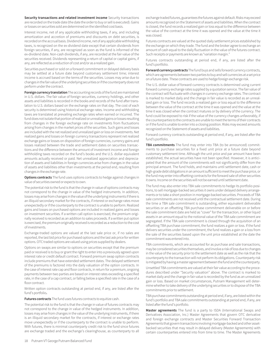**Security transactions and related investment income** Security transactions are recorded on the trade date (the date the order to buy or sell is executed). Gains or losses on securities sold are determined on the identified cost basis.

Interest income, net of any applicable withholding taxes, if any, and including amortization and accretion of premiums and discounts on debt securities, is recorded on the accrual basis. Dividend income, net of any applicable withholding taxes, is recognized on the ex-dividend date except that certain dividends from foreign securities, if any, are recognized as soon as the fund is informed of the ex-dividend date. Non-cash dividends, if any, are recorded at the fair value of the securities received. Dividends representing a return of capital or capital gains, if any, are reflected as a reduction of cost and/or as a realized gain.

Securities purchased or sold on a forward commitment or delayed delivery basis may be settled at a future date beyond customary settlement time; interest income is accrued based on the terms of the securities. Losses may arise due to changes in the fair value of the underlying securities or if the counterparty does not perform under the contract.

**Foreign currency translation** The accounting records of the fund are maintained in U.S. dollars. The fair value of foreign securities, currency holdings, and other assets and liabilities is recorded in the books and records of the fund after translation to U.S. dollars based on the exchange rates on that day. The cost of each security is determined using historical exchange rates. Income and withholding taxes are translated at prevailing exchange rates when earned or incurred. The fund does not isolate that portion of realized or unrealized gains or losses resulting from changes in the foreign exchange rate on investments from fluctuations arising from changes in the market prices of the securities. Such gains and losses are included with the net realized and unrealized gain or loss on investments. Net realized gains and losses on foreign currency transactions represent net realized exchange gains or losses on disposition of foreign currencies, currency gains and losses realized between the trade and settlement dates on securities transactions and the difference between the amount of investment income and foreign withholding taxes recorded on the fund's books and the U.S. dollar equivalent amounts actually received or paid. Net unrealized appreciation and depreciation of assets and liabilities in foreign currencies arise from changes in the value of assets and liabilities other than investments at the period end, resulting from changes in the exchange rate.

**Options contracts** The fund uses options contracts to hedge against changes in value of securities owned or expects to own.

The potential risk to the fund is that the change in value of options contracts may not correspond to the change in value of the hedged instruments. In addition, losses may arise from changes in the value of the underlying instruments if there is an illiquid secondary market for the contracts, if interest or exchange rates move unexpectedly or if the counterparty to the contract is unable to perform. Realized gains and losses on purchased options are included in realized gains and losses on investment securities. If a written call option is exercised, the premium originally received is recorded as an addition to sales proceeds. If a written put option is exercised, the premium originally received is recorded as a reduction to the cost of investments.

Exchange-traded options are valued at the last sale price or, if no sales are reported, the last bid price for purchased options and the last ask price for written options. OTC traded options are valued using prices supplied by dealers.

Options on swaps are similar to options on securities except that the premium paid or received is to buy or grant the right to enter into a previously agreed upon interest rate or credit default contract. Forward premium swap option contracts include premiums that have extended settlement dates. The delayed settlement of the premiums is factored into the daily valuation of the option contracts. In the case of interest rate cap and floor contracts, in return for a premium, ongoing payments between two parties are based on interest rates exceeding a specified rate, in the case of a cap contract, or falling below a specified rate in the case of a floor contract.

Written option contracts outstanding at period end, if any, are listed after the fund's portfolio**.**

**Futures contracts** The fund uses futures contracts to equitize cash.

The potential risk to the fund is that the change in value of futures contracts may not correspond to the change in value of the hedged instruments. In addition, losses may arise from changes in the value of the underlying instruments, if there is an illiquid secondary market for the contracts, if interest or exchange rates move unexpectedly or if the counterparty to the contract is unable to perform. With futures, there is minimal counterparty credit risk to the fund since futures are exchange traded and the exchange's clearinghouse, as counterparty to all

exchange traded futures, guarantees the futures against default. Risks may exceed amounts recognized on the Statement of assets and liabilities. When the contract is closed, the fund records a realized gain or loss equal to the difference between the value of the contract at the time it was opened and the value at the time it was closed.

Futures contracts are valued at the quoted daily settlement prices established by the exchange on which they trade. The fund and the broker agree to exchange an amount of cash equal to the daily fluctuation in the value of the futures contract. Such receipts or payments are known as "variation margin."

Futures contracts outstanding at period end, if any, are listed after the fund's portfolio.

**Forward currency contracts** The fund buys and sells forward currency contracts, which are agreements between two parties to buy and sell currencies at a set price on a future date. These contracts are used to hedge foreign exchange risk.

The U.S. dollar value of forward currency contracts is determined using current forward currency exchange rates supplied by a quotation service. The fair value of the contract will fluctuate with changes in currency exchange rates. The contract is marked to market daily and the change in fair value is recorded as an unrealized gain or loss. The fund records a realized gain or loss equal to the difference between the value of the contract at the time it was opened and the value at the time it was closed when the contract matures or by delivery of the currency. The fund could be exposed to risk if the value of the currency changes unfavorably, if the counterparties to the contracts are unable to meet the terms of their contracts or if the fund is unable to enter into a closing position. Risks may exceed amounts recognized on the Statement of assets and liabilities.

Forward currency contracts outstanding at period end, if any, are listed after the fund's portfolio.

**TBA commitments** The fund may enter into TBA (to be announced) commitments to purchase securities for a fixed unit price at a future date beyond customary settlement time. Although the unit price and par amount have been established, the actual securities have not been specified. However, it is anticipated that the amount of the commitments will not significantly differ from the principal amount. The fund holds, and maintains until settlement date, cash or high-grade debt obligations in an amount sufficient to meet the purchase price, or the fund may enter into offsetting contracts for the forward sale of other securities it owns. Income on the securities will not be earned until settlement date.

The fund may also enter into TBA sale commitments to hedge its portfolio positions, to sell mortgage-backed securities it owns under delayed delivery arrangements or to take a short position in mortgage-backed securities. Proceeds of TBA sale commitments are not received until the contractual settlement date. During the time a TBA sale commitment is outstanding, either equivalent deliverable securities or an offsetting TBA purchase commitment deliverable on or before the sale commitment date are held as "cover" for the transaction, or other liquid assets in an amount equal to the notional value of the TBA sale commitment are segregated. If the TBA sale commitment is closed through the acquisition of an offsetting TBA purchase commitment, the fund realizes a gain or loss. If the fund delivers securities under the commitment, the fund realizes a gain or a loss from the sale of the securities based upon the unit price established at the date the commitment was entered into.

TBA commitments, which are accounted for as purchase and sale transactions, may be considered securities themselves, and involve a risk of loss due to changes in the value of the security prior to the settlement date as well as the risk that the counterparty to the transaction will not perform its obligations. Counterparty risk is mitigated by having a master agreement between the fund and the counterparty.

Unsettled TBA commitments are valued at their fair value according to the procedures described under "Security valuation" above. The contract is marked to market daily and the change in fair value is recorded by the fund as an unrealized gain or loss. Based on market circumstances, Putnam Management will determine whether to take delivery of the underlying securities or to dispose of the TBA commitments prior to settlement.

TBA purchase commitments outstanding at period end, if any, are listed within the fund's portfolio and TBA sale commitments outstanding at period end, if any, are listed after the fund's portfolio.

**Master agreements** The fund is a party to ISDA (International Swaps and Derivatives Association, Inc.) Master Agreements that govern OTC derivative and foreign exchange contracts and Master Securities Forward Transaction Agreements that govern transactions involving mortgage-backed and other assetbacked securities that may result in delayed delivery (Master Agreements) with certain counterparties entered into from time to time. The Master Agreements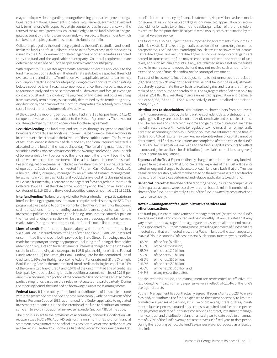may contain provisions regarding, among other things, the parties' general obligations, representations, agreements, collateral requirements, events of default and early termination. With respect to certain counterparties, in accordance with the terms of the Master Agreements, collateral pledged to the fund is held in a segregated account by the fund's custodian and, with respect to those amounts which can be sold or repledged, are presented in the fund's portfolio.

Collateral pledged by the fund is segregated by the fund's custodian and identified in the fund's portfolio. Collateral can be in the form of cash or debt securities issued by the U.S. Government or related agencies or other securities as agreed to by the fund and the applicable counterparty. Collateral requirements are determined based on the fund's net position with each counterparty.

With respect to ISDA Master Agreements, termination events applicable to the fund may occur upon a decline in the fund's net assets below a specified threshold over a certain period of time. Termination events applicable to counterparties may occur upon a decline in the counterparty's long-term or short-term credit ratings below a specified level. In each case, upon occurrence, the other party may elect to terminate early and cause settlement of all derivative and foreign exchange contracts outstanding, including the payment of any losses and costs resulting from such early termination, as reasonably determined by the terminating party. Any decision by one or more of the fund's counterparties to elect early termination could impact the fund's future derivative activity.

At the close of the reporting period, the fund had a net liability position of \$41,342 on open derivative contracts subject to the Master Agreements**.** There was no collateral pledged by the fund at period end for these agreements.

**Securities lending** The fund may lend securities, through its agent, to qualified borrowers in order to earn additional income. The loans are collateralized by cash in an amount at least equal to the fair value of the securities loaned. The fair value of securities loaned is determined daily and any additional required collateral is allocated to the fund on the next business day. The remaining maturities of the securities lending transactions are considered overnight and continuous. The risk of borrower default will be borne by the fund's agent; the fund will bear the risk of loss with respect to the investment of the cash collateral. Income from securities lending, net of expenses, is included in investment income on the Statement of operations. Cash collateral is invested in Putnam Cash Collateral Pool, LLC, a limited liability company managed by an affiliate of Putnam Management. Investments in Putnam Cash Collateral Pool, LLC are valued at its closing net asset value each business day. There are no management fees charged to Putnam Cash Collateral Pool, LLC. At the close of the reporting period, the fund received cash collateral of \$1,216,535 and the value of securities loaned amounted to \$1,180,312.

**Interfund lending** The fund, along with other Putnam funds, may participate in an interfund lending program pursuant to an exemptive order issued by the SEC. This program allows the fund to borrow from or lend to other Putnam funds that permit such transactions. Interfund lending transactions are subject to each fund's investment policies and borrowing and lending limits. Interest earned or paid on the interfund lending transaction will be based on the average of certain current market rates. During the reporting period, the fund did not utilize the program.

**Lines of credit** The fund participates, along with other Putnam funds, in a \$317.5 million unsecured committed line of credit and a \$235.5 million unsecured uncommitted line of credit, both provided by State Street. Borrowings may be made for temporary or emergency purposes, including the funding of shareholder redemption requests and trade settlements. Interest is charged to the fund based on the fund's borrowing at a rate equal to 1.25% plus the higher of (1) the Federal Funds rate and (2) the Overnight Bank Funding Rate for the committed line of credit and 1.30% plus the higher of (1) the Federal Funds rate and (2) the Overnight Bank Funding Rate for the uncommitted line of credit. A closing fee equal to 0.04% of the committed line of credit and 0.04% of the uncommitted line of credit has been paid by the participating funds. In addition, a commitment fee of 0.21% per annum on any unutilized portion of the committed line of credit is allocated to the participating funds based on their relative net assets and paid quarterly. During the reporting period, the fund had no borrowings against these arrangements.

**Federal taxes** It is the policy of the fund to distribute all of its taxable income within the prescribed time period and otherwise comply with the provisions of the Internal Revenue Code of 1986, as amended (the Code), applicable to regulated investment companies. It is also the intention of the fund to distribute an amount sufficient to avoid imposition of any excise tax under Section 4982 of the Code.

The fund is subject to the provisions of Accounting Standards Codification 740 *Income Taxes* (ASC 740). ASC 740 sets forth a minimum threshold for financial statement recognition of the benefit of a tax position taken or expected to be taken in a tax return. The fund did not have a liability to record for any unrecognized tax

benefits in the accompanying financial statements. No provision has been made for federal taxes on income, capital gains or unrealized appreciation on securities held nor for excise tax on income and capital gains. Each of the fund's federal tax returns for the prior three fiscal years remains subject to examination by the Internal Revenue Service.

The fund may also be subject to taxes imposed by governments of countries in which it invests. Such taxes are generally based on either income or gains earned or repatriated. The fund accrues and applies such taxes to net investment income, net realized gains and net unrealized gains as income and/or capital gains are earned. In some cases, the fund may be entitled to reclaim all or a portion of such taxes, and such reclaim amounts, if any, are reflected as an asset on the fund's books. In many cases, however, the fund may not receive such amounts for an extended period of time, depending on the country of investment.

Tax cost of investments includes adjustments to net unrealized appreciation (depreciation) which may not necessarily be final tax cost basis adjustments, but closely approximate the tax basis unrealized gains and losses that may be realized and distributed to shareholders. The aggregate identified cost on a tax basis is \$201,896,833, resulting in gross unrealized appreciation and depreciation of \$45,988,153 and \$1,722,516, respectively, or net unrealized appreciation of \$44,265,637.

**Distributions to shareholders** Distributions to shareholders from net investment income are recorded by the fund on the ex-dividend date. Distributions from capital gains, if any, are recorded on the ex-dividend date and paid at least annually. The amount and character of income and gains to be distributed are determined in accordance with income tax regulations, which may differ from generally accepted accounting principles. Dividend sources are estimated at the time of declaration. Actual results may vary. Any non-taxable return of capital cannot be determined until final tax calculations are completed after the end of the fund's fiscal year. Reclassifications are made to the fund's capital accounts to reflect income and gains available for distribution (or available capital loss carryovers) under income tax regulations.

**Expenses of the Trust** Expenses directly charged or attributable to any fund will be paid from the assets of that fund. Generally, expenses of the Trust will be allocated among and charged to the assets of each fund on a basis that the Trustees deem fair and equitable, which may be based on the relative assets of each fund or the nature of the services performed and relative applicability to each fund.

**Beneficial interest** At the close of the reporting period, insurance companies or their separate accounts were record owners of all but a de minimis number of the shares of the fund. Approximately 39.7% of the fund is owned by accounts of one insurance company.

#### **Note 2 — Management fee, administrative services and other transactions**

The fund pays Putnam Management a management fee (based on the fund's average net assets and computed and paid monthly) at annual rates that may vary based on the average of the aggregate net assets of all open-end mutual funds sponsored by Putnam Management (excluding net assets of funds that are invested in, or that are invested in by, other Putnam funds to the extent necessary to avoid "double counting" of those assets). Such annual rates may vary as follows:

| 0.680% | of the first \$5 billion,     |
|--------|-------------------------------|
| 0.630% | of the next \$5 billion,      |
| 0.580% | of the next \$10 billion,     |
| 0.530% | of the next \$10 billion,     |
| 0.480% | of the next \$50 billion,     |
| 0.460% | of the next \$50 billion,     |
| 0.450% | of the next \$100 billion and |
| 0.445% | of any excess thereafter.     |
|        |                               |

For the reporting period, the management fee represented an effective rate (excluding the impact from any expense waivers in effect) of 0.254% of the fund's average net assets.

Putnam Management has contractually agreed, through April 30, 2023, to waive fees and/or reimburse the fund's expenses to the extent necessary to limit the cumulative expenses of the fund, exclusive of brokerage, interest, taxes, investment-related expenses, extraordinary expenses, acquired fund fees and expenses and payments under the fund's investor servicing contract, investment management contract and distribution plan, on a fiscal year-to-date basis to an annual rate of 0.20% of the fund's average net assets over such fiscal year-to-date period. During the reporting period, the fund's expenses were not reduced as a result of this limit.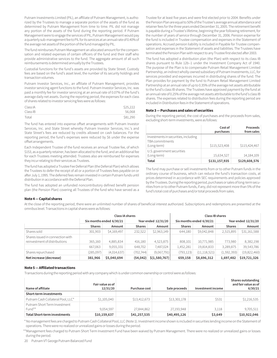Putnam Investments Limited (PIL), an affiliate of Putnam Management, is authorized by the Trustees to manage a separate portion of the assets of the fund as determined by Putnam Management from time to time. PIL did not manage any portion of the assets of the fund during the reporting period. If Putnam Management were to engage the services of PIL, Putnam Management would pay a quarterly sub-management fee to PIL for its services at an annual rate of 0.40% of the average net assets of the portion of the fund managed by PIL.

The fund reimburses Putnam Management an allocated amount for the compensation and related expenses of certain officers of the fund and their staff who provide administrative services to the fund. The aggregate amount of all such reimbursements is determined annually by the Trustees.

Custodial functions for the fund's assets are provided by State Street. Custody fees are based on the fund's asset level, the number of its security holdings and transaction volumes.

Putnam Investor Services, Inc., an affiliate of Putnam Management, provides investor servicing agent functions to the fund. Putnam Investor Services, Inc. was paid a monthly fee for investor servicing at an annual rate of 0.07% of the fund's average daily net assets. During the reporting period, the expenses for each class of shares related to investor servicing fees were as follows:

| Class IA | \$25,222 |
|----------|----------|
| Class IB | 56.068   |
| Total    | \$81,290 |

The fund has entered into expense offset arrangements with Putnam Investor Services, Inc. and State Street whereby Putnam Investor Services, Inc.'s and State Street's fees are reduced by credits allowed on cash balances. For the reporting period, the fund's expenses were reduced by \$6 under the expense offset arrangements.

Each Independent Trustee of the fund receives an annual Trustee fee, of which \$153, as a quarterly retainer, has been allocated to the fund, and an additional fee for each Trustees meeting attended. Trustees also are reimbursed for expenses they incur relating to their services as Trustees.

The fund has adopted a Trustee Fee Deferral Plan (the Deferral Plan) which allows the Trustees to defer the receipt of all or a portion of Trustees fees payable on or after July 1, 1995. The deferred fees remain invested in certain Putnam funds until distribution in accordance with the Deferral Plan.

The fund has adopted an unfunded noncontributory defined benefit pension plan (the Pension Plan) covering all Trustees of the fund who have served as a Trustee for at least five years and were first elected prior to 2004. Benefits under the Pension Plan are equal to 50% of the Trustee's average annual attendance and retainer fees for the three years ended December 31, 2005. The retirement benefit is payable during a Trustee's lifetime, beginning the year following retirement, for the number of years of service through December 31, 2006. Pension expense for the fund is included in Trustee compensation and expenses in the Statement of operations. Accrued pension liability is included in Payable for Trustee compensation and expenses in the Statement of assets and liabilities. The Trustees have terminated the Pension Plan with respect to any Trustee first elected after 2003.

The fund has adopted a distribution plan (the Plan) with respect to its class IB shares pursuant to Rule 12b–1 under the Investment Company Act of 1940. The purpose of the Plan is to compensate Putnam Retail Management Limited Partnership, an indirect wholly-owned subsidiary of Putnam Investments, LLC, for services provided and expenses incurred in distributing shares of the fund. The Plan provides for payment by the fund to Putnam Retail Management Limited Partnership at an annual rate of up to 0.35% of the average net assets attributable to the fund's class IB shares. The Trustees have approved payment by the fund at an annual rate of 0.25% of the average net assets attributable to the fund's class IB shares. The expenses related to distribution fees during the reporting period are included in Distribution fees in the Statement of operations.

#### **Note 3 — Purchases and sales of securities**

During the reporting period, the cost of purchases and the proceeds from sales, excluding short-term investments, were as follows:

|                                                                        | Cost of<br>purchases | Proceeds<br>from sales |
|------------------------------------------------------------------------|----------------------|------------------------|
| Investments in securities, including<br>TBA commitments<br>(Long-term) | \$115,523,408        | \$115,424,467          |
| U.S. government securities<br>(Long-term)                              | 15,634,527           | 14,184,109             |
| Total                                                                  | \$131,157,935        | \$129,608,576          |

The fund may purchase or sell investments from or to other Putnam funds in the ordinary course of business, which can reduce the fund's transaction costs, at prices determined in accordance with SEC requirements and policies approved by the Trustees. During the reporting period, purchases or sales of long-term securities from or to other Putnam funds, if any, did not represent more than 5% of the fund's total cost of purchases and/or total proceeds from sales.

#### **Note 4 — Capital shares**

At the close of the reporting period, there were an unlimited number of shares of beneficial interest authorized. Subscriptions and redemptions are presented at the omnibus level. Transactions in capital shares were as follows:

|                                  |                          | <b>Class IA shares</b> |                     |               | Class IB shares          |                |                     |              |  |
|----------------------------------|--------------------------|------------------------|---------------------|---------------|--------------------------|----------------|---------------------|--------------|--|
|                                  | Six months ended 6/30/21 |                        | Year ended 12/31/20 |               | Six months ended 6/30/21 |                | Year ended 12/31/20 |              |  |
|                                  | <b>Shares</b>            | Amount                 | <b>Shares</b>       | Amount        | <b>Shares</b>            | Amount         | <b>Shares</b>       | Amount       |  |
| Shares sold                      | 301,903                  | \$4,169,497            | 232,522             | \$2,963,149   | 644.180                  | \$9,042,848    | 2,515,895           | \$31,161,588 |  |
| Shares issued in connection with |                          |                        |                     |               |                          |                |                     |              |  |
| reinvestment of distributions    | 365,160                  | 4,885,834              | 416,180             | 4,523,875     | 808,101                  | 10,771,985     | 773,980             | 8,382,198    |  |
|                                  | 667,063                  | 9,055,331              | 648,702             | 7,487,024     | 1,452,281                | 19,814,833     | 3,289,875           | 39,543,786   |  |
| Shares repurchased               | (285, 097)               | (4,014,637)            | (702, 744)          | (9,067,791)   | (793, 123)               | (11, 118, 521) | (1, 592, 393)       | (19,822,460) |  |
| Net increase (decrease)          | 381,966                  | \$5,040,694            | (54, 042)           | \$(1,580,767) | 659,158                  | \$8,696,312    | 1,697,482           | \$19,721,326 |  |

#### **Note 5 — Affiliated transactions**

Transactions during the reporting period with any company which is under common ownership or control were as follows:

| Name of affiliate                      | Fair value as of<br>12/31/20 | Purchase cost | Sale proceeds | Investment income | Shares outstanding<br>and fair value as of<br>6/30/21 |
|----------------------------------------|------------------------------|---------------|---------------|-------------------|-------------------------------------------------------|
| Short-term investments                 |                              |               |               |                   |                                                       |
| Putnam Cash Collateral Pool, LLC*      | \$1,105,040                  | \$13,412,673  | \$13,301,178  | \$531             | \$1,216,535                                           |
| Putnam Short Term Investment<br>Fund** | 9,054,597                    | 27,844,862    | 27,193,948    | 3,118             | 9,705,511                                             |
| <b>Total Short-term investments</b>    | \$10,159,637                 | \$41,257,535  | \$40,495,126  | \$3,649           | \$10,922,046                                          |

 \*No management fees are charged to Putnam Cash Collateral Pool, LLC (Note 1). Investment income shown is included in securities lending income on the Statement of operations. There were no realized or unrealized gains or losses during the period.

 \*\*Management fees charged to Putnam Short Term Investment Fund have been waived by Putnam Management. There were no realized or unrealized gains or losses during the period.

20 Putnam VT George Putnam Balanced Fund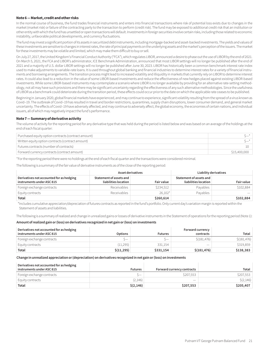#### **Note 6 — Market, credit and other risks**

In the normal course of business, the fund trades financial instruments and enters into financial transactions where risk of potential loss exists due to changes in the market (market risk) or failure of the contracting party to the transaction to perform (credit risk). The fund may be exposed to additional credit risk that an institution or other entity with which the fund has unsettled or open transactions will default. Investments in foreign securities involve certain risks, including those related to economic instability, unfavorable political developments, and currency fluctuations.

The fund may invest a significant portion of its assets in securitized debt instruments, including mortgage-backed and asset-backed investments. The yields and values of these investments are sensitive to changes in interest rates, the rate of principal payments on the underlying assets and the market's perception of the issuers. The market for these investments may be volatile and limited, which may make them difficult to buy or sell.

On July 27, 2017, the United Kingdom's Financial Conduct Authority ("FCA"), which regulates LIBOR, announced a desire to phase out the use of LIBOR by the end of 2021. On March 5, 2021, the FCA and LIBOR's administrator, ICE Benchmark Administration, announced that most LIBOR settings will no longer be published after the end of 2021 and a majority of U.S. dollar LIBOR settings will no longer be published after June 30, 2023. LIBOR has historically been a common benchmark interest rate index used to make adjustments to variable-rate loans. It is used throughout global banking and financial industries to determine interest rates for a variety of financial instruments and borrowing arrangements. The transition process might lead to increased volatility and illiquidity in markets that currently rely on LIBOR to determine interest rates. It could also lead to a reduction in the value of some LIBOR-based investments and reduce the effectiveness of new hedges placed against existing LIBOR-based investments. While some LIBOR-based instruments may contemplate a scenario where LIBOR is no longer available by providing for an alternative rate-setting methodology, not all may have such provisions and there may be significant uncertainty regarding the effectiveness of any such alternative methodologies. Since the usefulness of LIBOR as a benchmark could deteriorate during the transition period, these effects could occur prior to the date on which the applicable rate ceases to be published.

Beginning in January 2020, global financial markets have experienced, and may continue to experience, significant volatility resulting from the spread of a virus known as Covid–19. The outbreak of Covid–19 has resulted in travel and border restrictions, quarantines, supply chain disruptions, lower consumer demand, and general market uncertainty. The effects of Covid–19 have adversely affected, and may continue to adversely affect, the global economy, the economies of certain nations, and individual issuers, all of which may negatively impact the fund's performance.

#### **Note 7 — Summary of derivative activity**

The volume of activity for the reporting period for any derivative type that was held during the period is listed below and was based on an average of the holdings at the end of each fiscal quarter:

| Purchased equity option contracts (contract amount) |              |
|-----------------------------------------------------|--------------|
| Written equity option contracts (contract amount)   |              |
| Futures contracts (number of contracts)             |              |
| Forward currency contracts (contract amount)        | \$15,400,000 |

\*For the reporting period there were no holdings at the end of each fiscal quarter and the transactions were considered minimal.

The following is a summary of the fair value of derivative instruments as of the close of the reporting period:

|                                                                       | Asset derivatives                               |                   | Liability derivatives                           |                   |  |
|-----------------------------------------------------------------------|-------------------------------------------------|-------------------|-------------------------------------------------|-------------------|--|
| Derivatives not accounted for as hedging<br>instruments under ASC 815 | Statement of assets and<br>liabilities location | <b>Fair value</b> | Statement of assets and<br>liabilities location | <b>Fair value</b> |  |
| Foreign exchange contracts                                            | Receivables                                     | \$234,512         | Pavables                                        | \$102.884         |  |
| Equity contracts                                                      | Receivables                                     | $26,102*$         | Payables                                        |                   |  |
| Total                                                                 |                                                 | \$260,614         |                                                 | \$102,884         |  |

\*Includes cumulative appreciation/depreciation of futures contracts as reported in the fund's portfolio. Only current day's variation margin is reported within the Statement of assets and liabilities.

The following is a summary of realized and change in unrealized gains or losses of derivative instruments in the Statement of operations for the reporting period (Note 1):

#### **Amount of realized gain or (loss) on derivatives recognized in net gain or (loss) on investments**

| Derivatives not accounted for as hedging<br>instruments under ASC 815 | <b>Options</b> | <b>Futures</b>           | Forward currency<br>contracts | Total        |
|-----------------------------------------------------------------------|----------------|--------------------------|-------------------------------|--------------|
| Foreign exchange contracts                                            | `—             | $\overline{\phantom{a}}$ | \$(181, 476)                  | \$(181, 476) |
| Equity contracts                                                      | (11, 295)      | 331,154                  |                               | \$319,859    |
| Total                                                                 | \$(11, 295)    | \$331,154                | \$(181, 476)                  | \$138,383    |

**Change in unrealized appreciation or (depreciation) on derivatives recognized in net gain or (loss) on investments**

| Derivatives not accounted for as hedging<br>instruments under ASC 815 | <b>Futures</b> | Forward currency contracts | Total          |
|-----------------------------------------------------------------------|----------------|----------------------------|----------------|
| Foreign exchange contracts                                            |                | \$207.553                  | \$207,553      |
| Equity contracts                                                      | (2, 146)       | –                          | $\zeta(2,146)$ |
| Total                                                                 | \$(2,146)      | \$207,553                  | \$205,407      |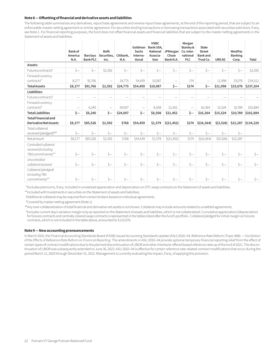#### **Note 8 — Offsetting of financial and derivative assets and liabilities**

The following table summarizes any derivatives, repurchase agreements and reverse repurchase agreements, at the end of the reporting period, that are subject to an enforceable master netting agreement or similar agreement. For securities lending transactions or borrowing transactions associated with securities sold short, if any, see Note 1. For financial reporting purposes, the fund does not offset financial assets and financial liabilities that are subject to the master netting agreements in the Statement of assets and liabilities.

|                                                                   | <b>Bank of</b><br>America<br>N.A. | <b>Barclays</b><br><b>Bank PLC</b> | <b>BofA</b><br>Securities,<br>Inc. | Citibank,<br>N.A. | Goldman<br>Sachs<br>Interna-<br>tional | <b>HSBC</b><br>Bank USA.<br>National<br>Associa-<br>tion | JPMorgan<br>Chase<br>Bank N.A. | Morgan<br>Stanley &<br>Co. Inter-<br>national<br>PLC | <b>State</b><br><b>Street</b><br><b>Bank</b> and<br>Trust Co. | <b>UBSAG</b> | WestPac<br><b>Banking</b><br>Corp. | Total              |
|-------------------------------------------------------------------|-----------------------------------|------------------------------------|------------------------------------|-------------------|----------------------------------------|----------------------------------------------------------|--------------------------------|------------------------------------------------------|---------------------------------------------------------------|--------------|------------------------------------|--------------------|
| Assets:                                                           |                                   |                                    |                                    |                   |                                        |                                                          |                                |                                                      |                                                               |              |                                    |                    |
| Futures contracts <sup>§</sup>                                    | $\zeta-$                          | $S-$                               | \$2,592                            | $S-$              | $S-$                                   | $\zeta-$                                                 | $S-$                           | $\zeta-$                                             | $\zeta-$                                                      | $\zeta-$     | $\zeta-$                           | \$2,592            |
| Forward currency<br>contracts#                                    | 8,177                             | 91,766                             | $\qquad \qquad$                    | 24,775            | 54,459                                 | 10,087                                                   | $\overline{\phantom{m}}$       | 174                                                  | $\overline{\phantom{m}}$                                      | 11,998       | 33,076                             | 234,512            |
| <b>Total Assets</b>                                               | \$8,177                           | \$91,766                           | \$2,592                            | \$24,775          | \$54,459                               | \$10,087                                                 | $s-$                           | \$174                                                | \$—                                                           | \$11,998     | \$33,076                           | \$237,104          |
| Liabilities:                                                      |                                   |                                    |                                    |                   |                                        |                                                          |                                |                                                      |                                                               |              |                                    |                    |
| Futures contracts <sup>§</sup>                                    |                                   | $\overline{\phantom{0}}$           |                                    | $\qquad \qquad -$ | $\overline{\phantom{0}}$               | $\overline{\phantom{a}}$                                 |                                |                                                      | $\overline{\phantom{0}}$                                      |              |                                    |                    |
| Forward currency<br>contracts#                                    |                                   |                                    |                                    |                   |                                        |                                                          | 21,452                         |                                                      |                                                               |              | 10,789                             |                    |
|                                                                   | $\overline{\phantom{0}}$          | 6,240                              |                                    | 24,007            | $\qquad \qquad$                        | 8,508                                                    |                                | $\overline{\phantom{m}}$                             | 16,364                                                        | 15,524       |                                    | 102,884            |
| <b>Total Liabilities</b>                                          | $\zeta-$                          | \$6,240                            | $\mathsf{s}-$                      | \$24,007          | $\zeta-$                               | \$8,508                                                  | \$21,452                       | \$-                                                  | \$16,364                                                      | \$15,524     | \$10,789                           | \$102,884          |
| <b>Total Financial and</b><br><b>Derivative Net Assets</b>        | \$8,177                           | \$85,526                           | \$2,592                            | \$768             | \$54,459                               | \$1,579                                                  | \$(21, 452)                    | \$174                                                | \$(16, 364)                                                   | \$(3,526)    |                                    | \$22,287 \$134,220 |
| Total collateral<br>received (pledged) <sup>+##</sup>             | $S-$                              | $S-$                               | $S-$                               | $\zeta-$          | $S-$                                   | $S-$                                                     | $S-$                           | $S-$                                                 | $S-$                                                          | $S-$         | $S-$                               |                    |
| Net amount                                                        | \$8,177                           | \$85,526                           | \$2,592                            | \$768             | \$54,459                               | \$1,579                                                  | \$(21, 452)                    | \$174                                                | \$(16, 364)                                                   | \$(3,526)    | \$22,287                           |                    |
| Controlled collateral<br>received (including<br>TBAcommitments)** | $\zeta-$                          | $S-$                               | $\zeta-$                           | $S-$              | $S-$                                   | $\zeta-$                                                 | $\zeta-$                       | $\zeta-$                                             | $\zeta-$                                                      | $\zeta-$     | $\zeta-$                           | $S-$               |
| Uncontrolled<br>collateral received                               | $S-$                              | $S-$                               | $S-$                               | $S-$              | $S-$                                   | $S-$                                                     | $s-$                           | $S-$                                                 | $S-$                                                          | $s-$         | $S-$                               | $S-$               |
| Collateral (pledged)<br>(including TBA<br>commitments)**          | $\zeta-$                          | $S-$                               | $\zeta-$                           | $S-$              | $s-$                                   | $\zeta-$                                                 | $S-$                           | $\zeta-$                                             | $S-$                                                          | $\zeta-$     | $S-$                               | $s-$               |

\*Excludes premiums, if any. Included in unrealized appreciation and depreciation on OTC swap contracts on the Statement of assets and liabilities.

\*\*Included with Investments in securities on the Statement of assets and liabilities.

†Additional collateral may be required from certain brokers based on individual agreements.

# Covered by master netting agreement (Note 1).

##Any over-collateralization of total financial and derivative net assets is not shown. Collateral may include amounts related to unsettled agreements.

§ Includes current day's variation margin only as reported on the Statement of assets and liabilities, which is not collateralized. Cumulative appreciation/(depreciation) for futures contracts and centrally cleared swap contracts is represented in the tables listed after the fund's portfolio. Collateral pledged for initial margin on futures contracts, which is not included in the table above, amounted to \$123,676.

#### **Note 9 — New accounting pronouncements**

In March 2020, the Financial Accounting Standards Board (FASB) issued Accounting Standards Update (ASU) 2020–04, Reference Rate Reform (Topic 848) — *Facilitation of the Effects of Reference Rate Reform on Financial Reporting*. The amendments in ASU 2020–04 provide optional temporary financial reporting relief from the effect of certain types of contract modifications due to the planned discontinuation of LIBOR and other interbank-offered based reference rates as of the end of 2021. The discontinuation of LIBOR was subsequently extended to June 30, 2023. ASU 2020–04 is effective for certain reference rate-related contract modifications that occur during the period March 12, 2020 through December 31, 2022. Management is currently evaluating the impact, if any, of applying this provision.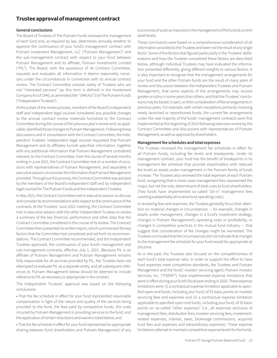### **Trustee approval of management contract**

#### **General conclusions**

The Board of Trustees of The Putnam Funds oversees the management of each fund and, as required by law, determines annually whether to approve the continuance of your fund's management contract with Putnam Investment Management, LLC ("Putnam Management") and the sub-management contract with respect to your fund between Putnam Management and its affiliate, Putnam Investments Limited ("PIL"). The Board, with the assistance of its Contract Committee, requests and evaluates all information it deems reasonably necessary under the circumstances in connection with its annual contract review. The Contract Committee consists solely of Trustees who are not "interested persons" (as this term is defined in the Investment Company Act of 1940, as amended (the "1940 Act")) of The Putnam Funds ("Independent Trustees").

At the outset of the review process, members of the Board's independent staff and independent legal counsel considered any possible changes to the annual contract review materials furnished to the Contract Committee during the course of the previous year's review and, as applicable, identified those changes to Putnam Management. Following these discussions and in consultation with the Contract Committee, the Independent Trustees' independent legal counsel requested that Putnam Management and its affiliates furnish specified information, together with any additional information that Putnam Management considered relevant, to the Contract Committee. Over the course of several months ending in June 2021, the Contract Committee met on a number of occasions with representatives of Putnam Management, and separately in executive session, to consider the information that Putnam Management provided. Throughout this process, the Contract Committee was assisted by the members of the Board's independent staff and by independent legal counsel for The Putnam Funds and the Independent Trustees.

In May 2021, the Contract Committee met in executive session to discuss and consider its recommendations with respect to the continuance of the contracts. At the Trustees' June 2021 meeting, the Contract Committee met in executive session with the other Independent Trustees to review a summary of the key financial, performance and other data that the Contract Committee considered in the course of its review. The Contract Committee then presented its written report, which summarized the key factors that the Committee had considered and set forth its recommendations. The Contract Committee recommended, and the Independent Trustees approved, the continuance of your fund's management and sub-management contracts, effective July 1, 2021. (Because PIL is an affiliate of Putnam Management and Putnam Management remains fully responsible for all services provided by PIL, the Trustees have not attempted to evaluate PIL as a separate entity, and all subsequent references to Putnam Management below should be deemed to include reference to PIL as necessary or appropriate in the context.)

The Independent Trustees' approval was based on the following conclusions:

• That the fee schedule in effect for your fund represented reasonable compensation in light of the nature and quality of the services being provided to the fund, the fees paid by competitive funds, the costs incurred by Putnam Management in providing services to the fund, and the application of certain reductions and waivers noted below; and

• That the fee schedule in effect for your fund represented an appropriate sharing between fund shareholders and Putnam Management of any economies of scale as may exist in the management of the fund at current asset levels.

These conclusions were based on a comprehensive consideration of all information provided to the Trustees and were not the result of any single factor. Some of the factors that figured particularly in the Trustees' deliberations and how the Trustees considered these factors are described below, although individual Trustees may have evaluated the information presented differently, giving different weights to various factors. It is also important to recognize that the management arrangements for your fund and the other Putnam funds are the result of many years of review and discussion between the Independent Trustees and Putnam Management, that some aspects of the arrangements may receive greater scrutiny in some years than others, and that the Trustees' conclusions may be based, in part, on their consideration of fee arrangements in previous years. For example, with certain exceptions primarily involving newly launched or repositioned funds, the current fee arrangements under the vast majority of the funds' management contracts were first implemented at the beginning of 2010 following extensive review by the Contract Committee and discussions with representatives of Putnam Management, as well as approval by shareholders.

#### **Management fee schedules and total expenses**

The Trustees reviewed the management fee schedules in effect for all Putnam funds, including fee levels and breakpoints. Under its management contract, your fund has the benefit of breakpoints in its management fee schedule that provide shareholders with reduced fee levels as assets under management in the Putnam family of funds increase. The Trustees also reviewed the total expenses of each Putnam fund, recognizing that in most cases management fees represented the major, but not the sole, determinant of total costs to fund shareholders. (Two funds have implemented so-called "all-in" management fees covering substantially all routine fund operating costs.)

In reviewing fees and expenses, the Trustees generally focus their attention on material changes in circumstances — for example, changes in assets under management, changes in a fund's investment strategy, changes in Putnam Management's operating costs or profitability, or changes in competitive practices in the mutual fund industry — that suggest that consideration of fee changes might be warranted. The Trustees concluded that the circumstances did not indicate that changes to the management fee schedule for your fund would be appropriate at this time.

As in the past, the Trustees also focused on the competitiveness of each fund's total expense ratio. In order to support the effort to have fund expenses meet competitive standards, the Trustees and Putnam Management and the funds' investor servicing agent, Putnam Investor Services, Inc. ("PSERV"), have implemented expense limitations that were in effect during your fund's fiscal year ending in 2020. These expense limitations were: (i) a contractual expense limitation applicable to specified open-end funds, including your fund, of 25 basis points on investor servicing fees and expenses and (ii) a contractual expense limitation applicable to specified open-end funds, including your fund, of 20 basis points on so-called "other expenses" (i.e., all expenses exclusive of management fees, distribution fees, investor servicing fees, investmentrelated expenses, interest, taxes, brokerage commissions, acquired fund fees and expenses and extraordinary expenses). These expense limitations attempt to maintain competitive expense levels for the funds.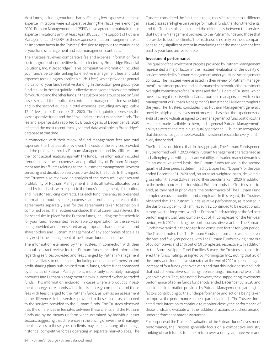Most funds, including your fund, had sufficiently low expenses that these expense limitations were not operative during their fiscal years ending in 2020. Putnam Management and PSERV have agreed to maintain these expense limitations until at least April 30, 2023. The support of Putnam Management and PSERV for these expense limitation arrangements was an important factor in the Trustees' decision to approve the continuance of your fund's management and sub-management contracts.

The Trustees reviewed comparative fee and expense information for a custom group of competitive funds selected by Broadridge Financial Solutions, Inc. ("Broadridge"). This comparative information included your fund's percentile ranking for effective management fees and total expenses (excluding any applicable 12b-1 fees), which provides a general indication of your fund's relative standing. In the custom peer group, your fund ranked in the first quintile in effective management fees (determined for your fund and the other funds in the custom peer group based on fund asset size and the applicable contractual management fee schedule) and in the second quintile in total expenses (excluding any applicable 12b-1 fees) as of December 31, 2020. The first quintile represents the least expensive funds and the fifth quintile the most expensive funds. The fee and expense data reported by Broadridge as of December 31, 2020 reflected the most recent fiscal year-end data available in Broadridge's database at that time.

In connection with their review of fund management fees and total expenses, the Trustees also reviewed the costs of the services provided and the profits realized by Putnam Management and its affiliates from their contractual relationships with the funds. This information included trends in revenues, expenses and profitability of Putnam Management and its affiliates relating to the investment management, investor servicing and distribution services provided to the funds. In this regard, the Trustees also reviewed an analysis of the revenues, expenses and profitability of Putnam Management and its affiliates, allocated on a fund-by-fund basis, with respect to the funds' management, distribution, and investor servicing contracts. For each fund, the analysis presented information about revenues, expenses and profitability for each of the agreements separately and for the agreements taken together on a combined basis. The Trustees concluded that, at current asset levels, the fee schedules in place for the Putnam funds, including the fee schedule for your fund, represented reasonable compensation for the services being provided and represented an appropriate sharing between fund shareholders and Putnam Management of any economies of scale as may exist in the management of the Putnam funds at that time.

The information examined by the Trustees in connection with their annual contract review for the Putnam funds included information regarding services provided and fees charged by Putnam Management and its affiliates to other clients, including defined benefit pension and profit-sharing plans, sub-advised mutual funds, private funds sponsored by affiliates of Putnam Management, model-only separately managed accounts and Putnam Management's newly launched exchange-traded funds. This information included, in cases where a product's investment strategy corresponds with a fund's strategy, comparisons of those fees with fees charged to the Putnam funds, as well as an assessment of the differences in the services provided to these clients as compared to the services provided to the Putnam funds. The Trustees observed that the differences in fee rates between these clients and the Putnam funds are by no means uniform when examined by individual asset sectors, suggesting that differences in the pricing of investment management services to these types of clients may reflect, among other things, historical competitive forces operating in separate marketplaces. The

Trustees considered the fact that in many cases fee rates across different asset classes are higher on average for mutual funds than for other clients, and the Trustees also considered the differences between the services that Putnam Management provides to the Putnam funds and those that it provides to its other clients. The Trustees did not rely on these comparisons to any significant extent in concluding that the management fees paid by your fund are reasonable.

#### **Investment performance**

The quality of the investment process provided by Putnam Management represented a major factor in the Trustees' evaluation of the quality of services provided by Putnam Management under your fund's management contract. The Trustees were assisted in their review of Putnam Management's investment process and performance by the work of the investment oversight committees of the Trustees and the full Board of Trustees, which meet on a regular basis with individual portfolio managers and with senior management of Putnam Management's Investment Division throughout the year. The Trustees concluded that Putnam Management generally provides a high-quality investment process — based on the experience and skills of the individuals assigned to the management of fund portfolios, the resources made available to them, and in general Putnam Management's ability to attract and retain high-quality personnel — but also recognized that this does not guarantee favorable investment results for every fund in every time period.

The Trustees considered that, in the aggregate, The Putnam Funds generally performed well in 2020, which Putnam Management characterized as a challenging year with significant volatility and varied market dynamics. On an asset-weighted basis, the Putnam funds ranked in the second quartile of their peers as determined by Lipper Inc. ("Lipper") for the year ended December 31, 2020 and, on an asset-weighted-basis, delivered a gross return that was 2.3% ahead of their benchmarks in 2020. In addition to the performance of the individual Putnam funds, the Trustees considered, as they had in prior years, the performance of The Putnam Fund complex versus competitor fund complexes. In this regard, the Trustees observed that The Putnam Funds' relative performance, as reported in the Barron's/Lipper Fund Families survey, continued to be exceptionally strong over the long term, with The Putnam Funds ranking as the 3rd best performing mutual fund complex out of 44 complexes for the ten-year period, with 2020 marking the fourth consecutive year that The Putnam Funds have ranked in the top ten fund complexes for the ten-year period. The Trustees noted that The Putnam Funds' performance was solid over the one- and five-year periods, with The Putnam Funds ranking 22nd out of 53 complexes and 14th out of 50 complexes, respectively. In addition to the Barron's/Lipper Fund Families Survey, the Trustees also considered the funds' ratings assigned by Morningstar Inc., noting that 26 of the funds were four- or five-star rated at the end of 2020 (representing an increase of four funds year-over-year) and that this included seven funds that had achieved a five-star rating (representing an increase of two funds year-over-year). They also noted, however, the disappointing investment performance of some funds for periods ended December 31, 2020 and considered information provided by Putnam Management regarding the factors contributing to the underperformance and actions being taken to improve the performance of these particular funds. The Trustees indicated their intention to continue to monitor closely the performance of those funds and evaluate whether additional actions to address areas of underperformance may be warranted.

For purposes of the Trustees' evaluation of the Putnam funds' investment performance, the Trustees generally focus on a competitive industry ranking of each fund's total net return over a one-year, three-year and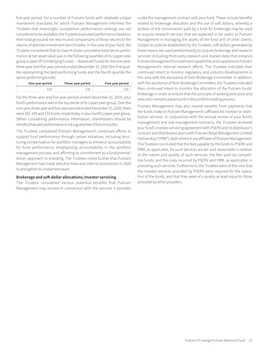five-year period. For a number of Putnam funds with relatively unique investment mandates for which Putnam Management informed the Trustees that meaningful competitive performance rankings are not considered to be available, the Trustees evaluated performance based on their total gross and net returns and comparisons of those returns to the returns of selected investment benchmarks. In the case of your fund, the Trustees considered that its class IA share cumulative total return performance at net asset value was in the following quartiles of its Lipper peer group (Lipper VP (Underlying Funds) — Balanced Funds) for the one-year, three-year and five-year periods ended December 31, 2020 (the first quartile representing the best-performing funds and the fourth quartile the worst-performing funds):

| One-year period | Three-year period | Five-year period |
|-----------------|-------------------|------------------|
|                 |                   |                  |

For the three-year and five-year periods ended December 31, 2020, your fund's performance was in the top decile of its Lipper peer group. Over the one-year, three-year and five-year periods ended December 31, 2020, there were 165, 149 and 132 funds, respectively, in your fund's Lipper peer group. (When considering performance information, shareholders should be mindful that past performance is not a guarantee of future results.)

The Trustees considered Putnam Management's continued efforts to support fund performance through certain initiatives, including structuring compensation for portfolio managers to enhance accountability for fund performance, emphasizing accountability in the portfolio management process, and affirming its commitment to a fundamentaldriven approach to investing. The Trustees noted further that Putnam Management had made selective hires and internal promotions in 2020 to strengthen its investment team.

#### **Brokerage and soft-dollar allocations; investor servicing**

The Trustees considered various potential benefits that Putnam Management may receive in connection with the services it provides under the management contract with your fund. These include benefits related to brokerage allocation and the use of soft dollars, whereby a portion of the commissions paid by a fund for brokerage may be used to acquire research services that are expected to be useful to Putnam Management in managing the assets of the fund and of other clients. Subject to policies established by the Trustees, soft dollars generated by these means are used predominantly to acquire brokerage and research services (including third-party research and market data) that enhance Putnam Management's investment capabilities and supplement Putnam Management's internal research efforts. The Trustees indicated their continued intent to monitor regulatory and industry developments in this area with the assistance of their Brokerage Committee. In addition, with the assistance of their Brokerage Committee, the Trustees indicated their continued intent to monitor the allocation of the Putnam funds' brokerage in order to ensure that the principle of seeking best price and execution remains paramount in the portfolio trading process.

Putnam Management may also receive benefits from payments that the funds make to Putnam Management's affiliates for investor or distribution services. In conjunction with the annual review of your fund's management and sub-management contracts, the Trustees reviewed your fund's investor servicing agreement with PSERV and its distributor's contract and distribution plans with Putnam Retail Management Limited Partnership ("PRM"), both of which are affiliates of Putnam Management. The Trustees concluded that the fees payable by the funds to PSERV and PRM, as applicable, for such services are fair and reasonable in relation to the nature and quality of such services, the fees paid by competitive funds, and the costs incurred by PSERV and PRM, as applicable, in providing such services. Furthermore, the Trustees were of the view that the investor services provided by PSERV were required for the operation of the funds, and that they were of a quality at least equal to those provided by other providers.